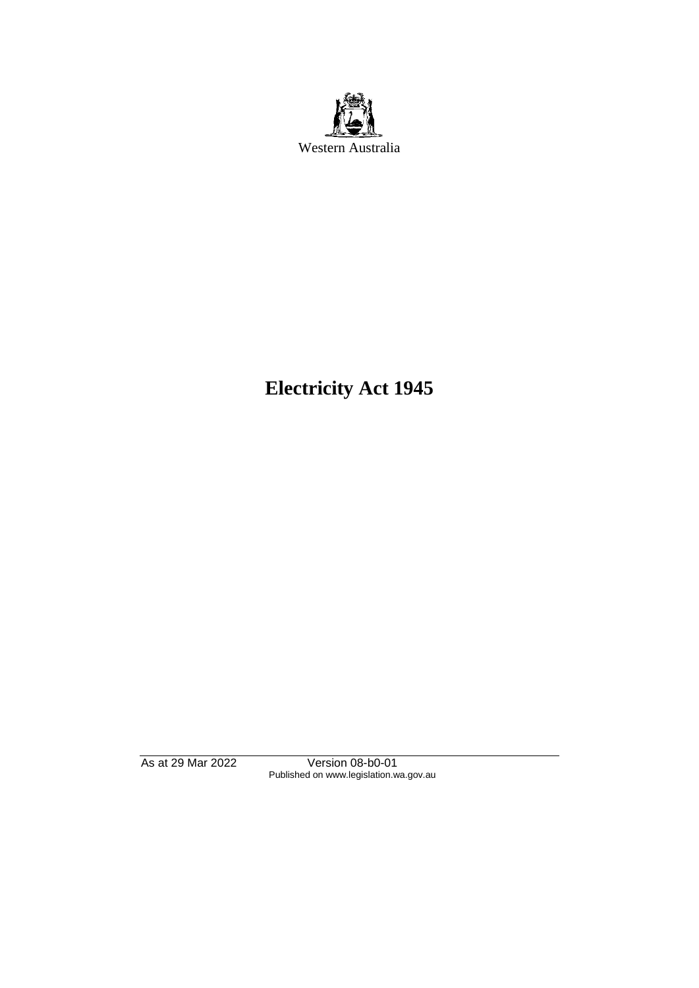

# **Electricity Act 1945**

As at 29 Mar 2022 Version 08-b0-01 Published on www.legislation.wa.gov.au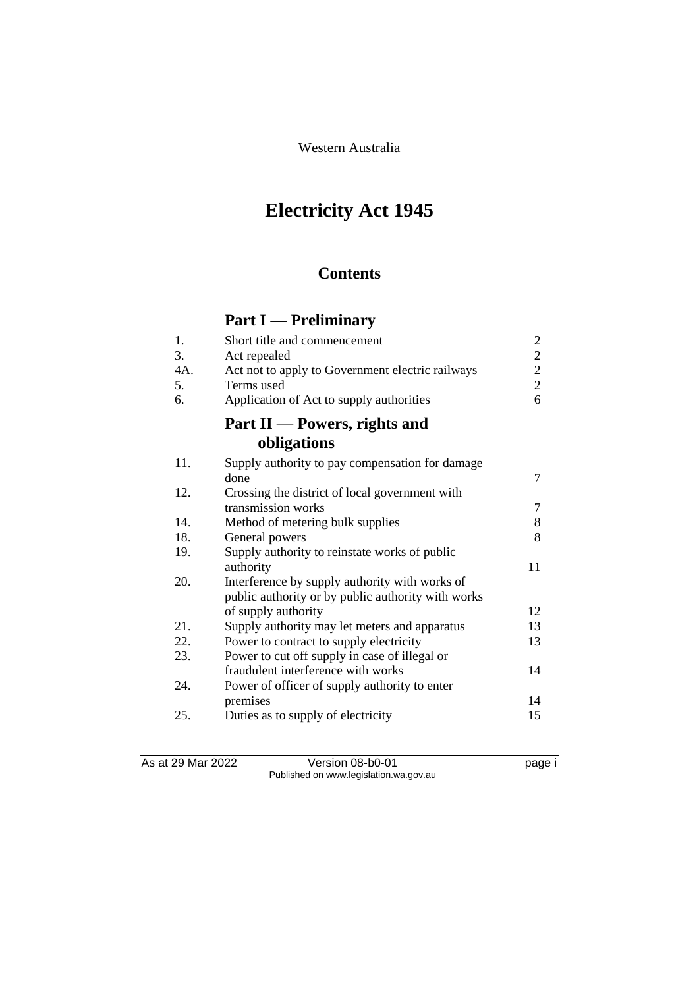Western Australia

# **Electricity Act 1945**

## **Contents**

## **Part I — Preliminary**

| 1.  | Short title and commencement                       | $\overline{c}$ |
|-----|----------------------------------------------------|----------------|
| 3.  | Act repealed                                       | $\overline{2}$ |
| 4A. | Act not to apply to Government electric railways   | $\overline{2}$ |
| 5.  | Terms used                                         | $\overline{2}$ |
| 6.  | Application of Act to supply authorities           | 6              |
|     | Part II — Powers, rights and                       |                |
|     | obligations                                        |                |
| 11. | Supply authority to pay compensation for damage    |                |
|     | done                                               | $\overline{7}$ |
| 12. | Crossing the district of local government with     |                |
|     | transmission works                                 | 7              |
| 14. | Method of metering bulk supplies                   | 8              |
| 18. | General powers                                     | 8              |
| 19. | Supply authority to reinstate works of public      |                |
|     | authority                                          | 11             |
| 20. | Interference by supply authority with works of     |                |
|     | public authority or by public authority with works |                |
|     | of supply authority                                | 12             |
| 21. | Supply authority may let meters and apparatus      | 13             |
| 22. | Power to contract to supply electricity            | 13             |
| 23. | Power to cut off supply in case of illegal or      |                |
|     | fraudulent interference with works                 | 14             |
| 24. | Power of officer of supply authority to enter      |                |
|     | premises                                           | 14             |
| 25. | Duties as to supply of electricity                 | 15             |
|     |                                                    |                |

As at 29 Mar 2022 Version 08-b0-01 page i Published on www.legislation.wa.gov.au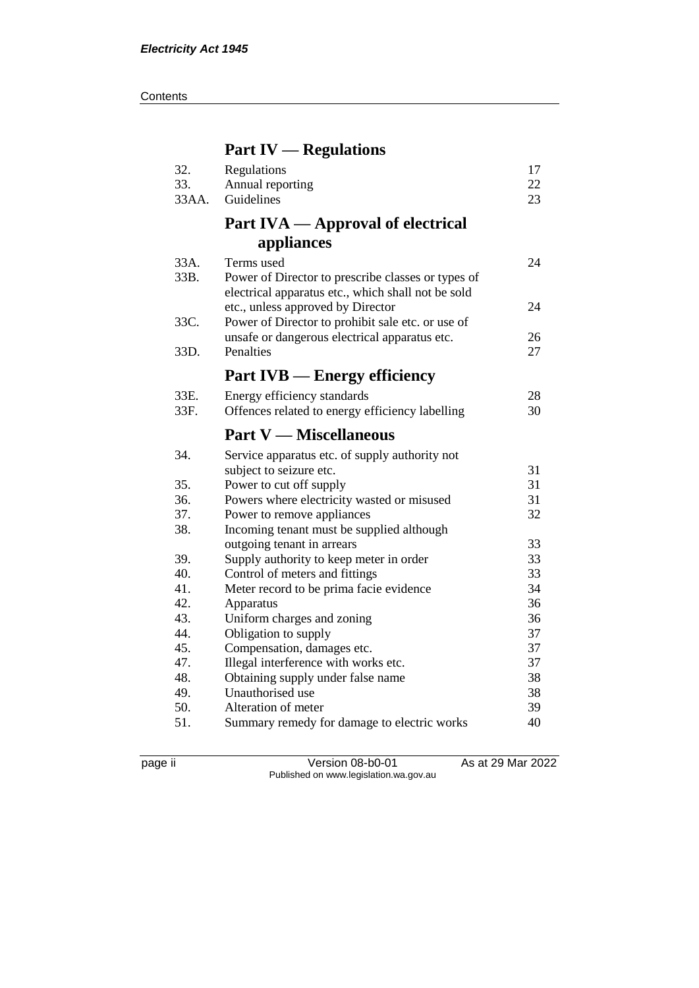**Contents** 

## **Part IV — Regulations**

| 32.<br>33.<br>33AA. | Regulations<br>Annual reporting<br>Guidelines                                                                          | 17<br>22<br>23 |
|---------------------|------------------------------------------------------------------------------------------------------------------------|----------------|
|                     | Part IVA — Approval of electrical                                                                                      |                |
|                     | appliances                                                                                                             |                |
| 33A.<br>33B.        | Terms used<br>Power of Director to prescribe classes or types of<br>electrical apparatus etc., which shall not be sold | 24             |
|                     | etc., unless approved by Director                                                                                      | 24             |
| 33C.                | Power of Director to prohibit sale etc. or use of                                                                      |                |
| 33D.                | unsafe or dangerous electrical apparatus etc.<br>Penalties                                                             | 26<br>27       |
|                     | <b>Part IVB — Energy efficiency</b>                                                                                    |                |
| 33E.                | Energy efficiency standards                                                                                            | 28             |
| 33F.                | Offences related to energy efficiency labelling                                                                        | 30             |
|                     | <b>Part V — Miscellaneous</b>                                                                                          |                |
| 34.                 | Service apparatus etc. of supply authority not                                                                         |                |
|                     | subject to seizure etc.                                                                                                | 31             |
| 35.                 | Power to cut off supply                                                                                                | 31             |
| 36.                 | Powers where electricity wasted or misused                                                                             | 31             |
| 37.                 | Power to remove appliances                                                                                             | 32             |
| 38.                 | Incoming tenant must be supplied although                                                                              |                |
|                     | outgoing tenant in arrears                                                                                             | 33             |
| 39.                 | Supply authority to keep meter in order                                                                                | 33             |
| 40.                 | Control of meters and fittings                                                                                         | 33             |
| 41.                 |                                                                                                                        |                |
|                     | Meter record to be prima facie evidence                                                                                | 34             |
| 42.                 | Apparatus                                                                                                              | 36             |
| 43.                 | Uniform charges and zoning                                                                                             | 36             |
| 44.                 | Obligation to supply                                                                                                   | 37             |
| 45.                 | Compensation, damages etc.                                                                                             | 37             |
| 47.                 | Illegal interference with works etc.                                                                                   | 37             |
| 48.                 | Obtaining supply under false name                                                                                      | 38             |
| 49.                 | Unauthorised use                                                                                                       | 38             |
| 50.<br>51.          | Alteration of meter<br>Summary remedy for damage to electric works                                                     | 39<br>40       |

page ii Version 08-b0-01 As at 29 Mar 2022 Published on www.legislation.wa.gov.au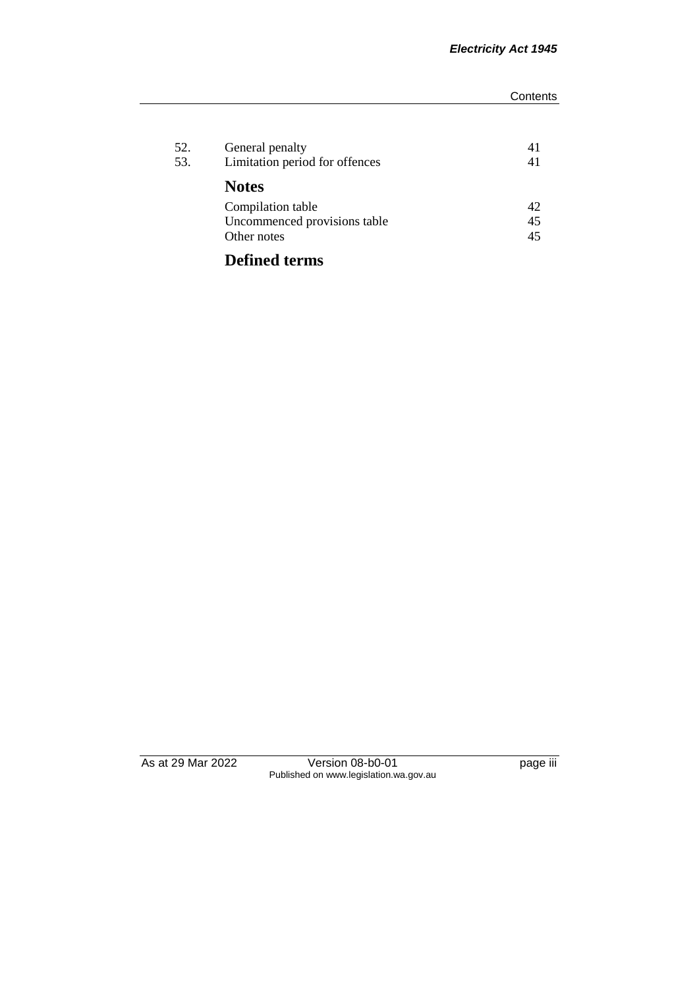| 52.<br>53. | General penalty<br>Limitation period for offences | 41<br>41 |
|------------|---------------------------------------------------|----------|
|            | <b>Notes</b>                                      |          |
|            | Compilation table                                 | 42       |
|            | Uncommenced provisions table                      | 45       |
|            | Other notes                                       | 45       |
|            | <b>Defined terms</b>                              |          |

As at 29 Mar 2022 Version 08-b0-01 page iii Published on www.legislation.wa.gov.au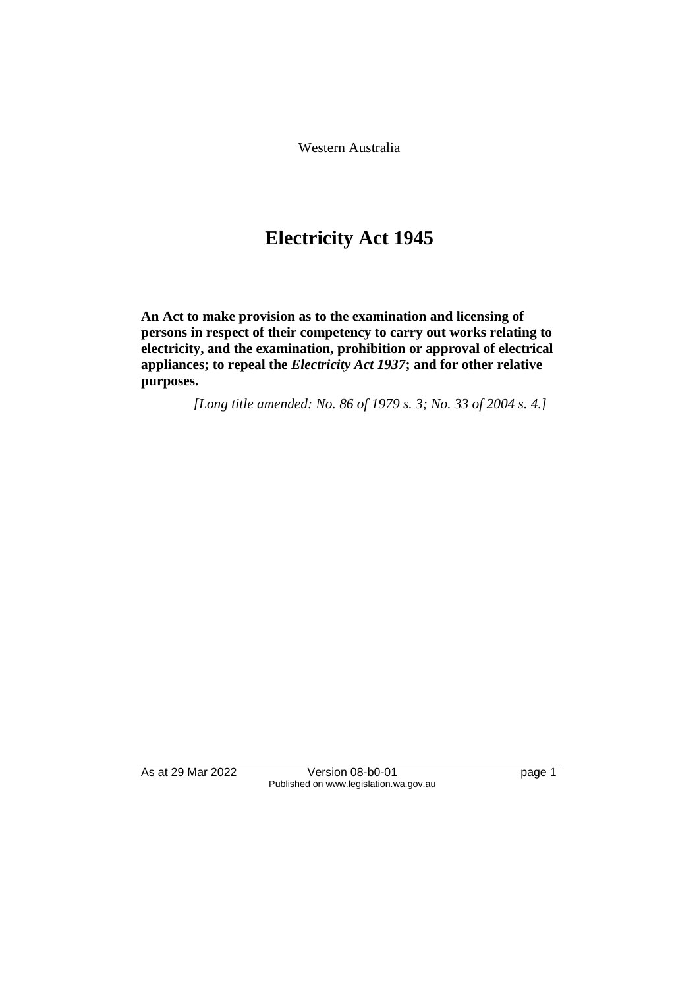Western Australia

## **Electricity Act 1945**

**An Act to make provision as to the examination and licensing of persons in respect of their competency to carry out works relating to electricity, and the examination, prohibition or approval of electrical appliances; to repeal the** *Electricity Act 1937***; and for other relative purposes.**

*[Long title amended: No. 86 of 1979 s. 3; No. 33 of 2004 s. 4.]*

As at 29 Mar 2022 Version 08-b0-01 page 1 Published on www.legislation.wa.gov.au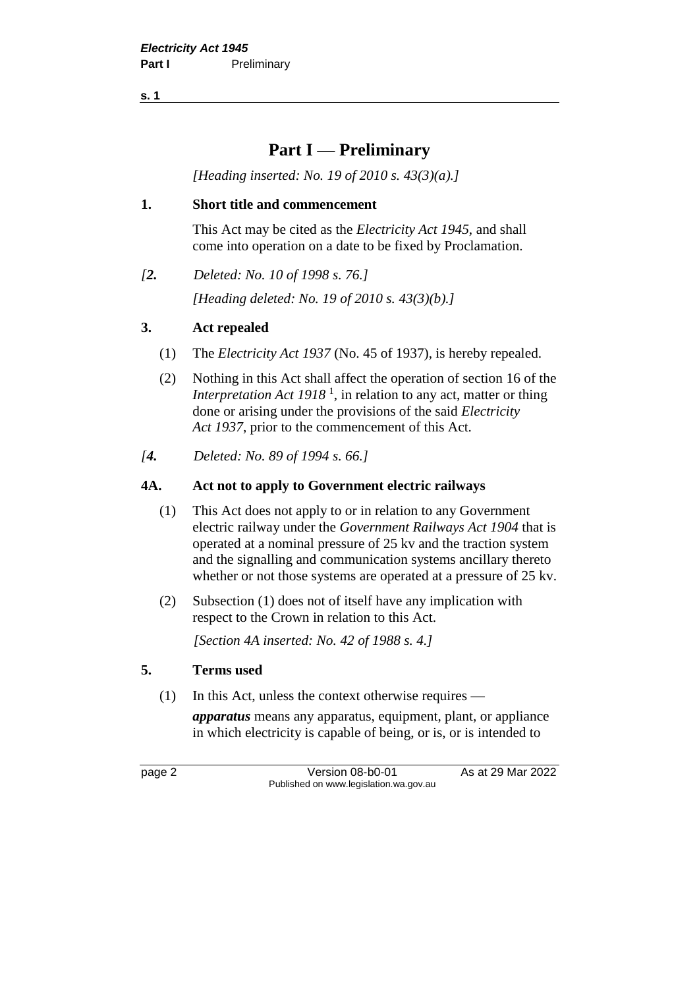**s. 1**

## **Part I — Preliminary**

*[Heading inserted: No. 19 of 2010 s. 43(3)(a).]*

#### **1. Short title and commencement**

This Act may be cited as the *Electricity Act 1945*, and shall come into operation on a date to be fixed by Proclamation.

*[2. Deleted: No. 10 of 1998 s. 76.]*

*[Heading deleted: No. 19 of 2010 s. 43(3)(b).]*

#### **3. Act repealed**

- (1) The *Electricity Act 1937* (No. 45 of 1937), is hereby repealed.
- (2) Nothing in this Act shall affect the operation of section 16 of the *Interpretation Act 1918*<sup>1</sup>, in relation to any act, matter or thing done or arising under the provisions of the said *Electricity Act 1937*, prior to the commencement of this Act.
- *[4. Deleted: No. 89 of 1994 s. 66.]*

#### **4A. Act not to apply to Government electric railways**

- (1) This Act does not apply to or in relation to any Government electric railway under the *Government Railways Act 1904* that is operated at a nominal pressure of 25 kv and the traction system and the signalling and communication systems ancillary thereto whether or not those systems are operated at a pressure of 25 kv.
- (2) Subsection (1) does not of itself have any implication with respect to the Crown in relation to this Act.

*[Section 4A inserted: No. 42 of 1988 s. 4.]*

#### **5. Terms used**

(1) In this Act, unless the context otherwise requires —

*apparatus* means any apparatus, equipment, plant, or appliance in which electricity is capable of being, or is, or is intended to

page 2 Version 08-b0-01 As at 29 Mar 2022 Published on www.legislation.wa.gov.au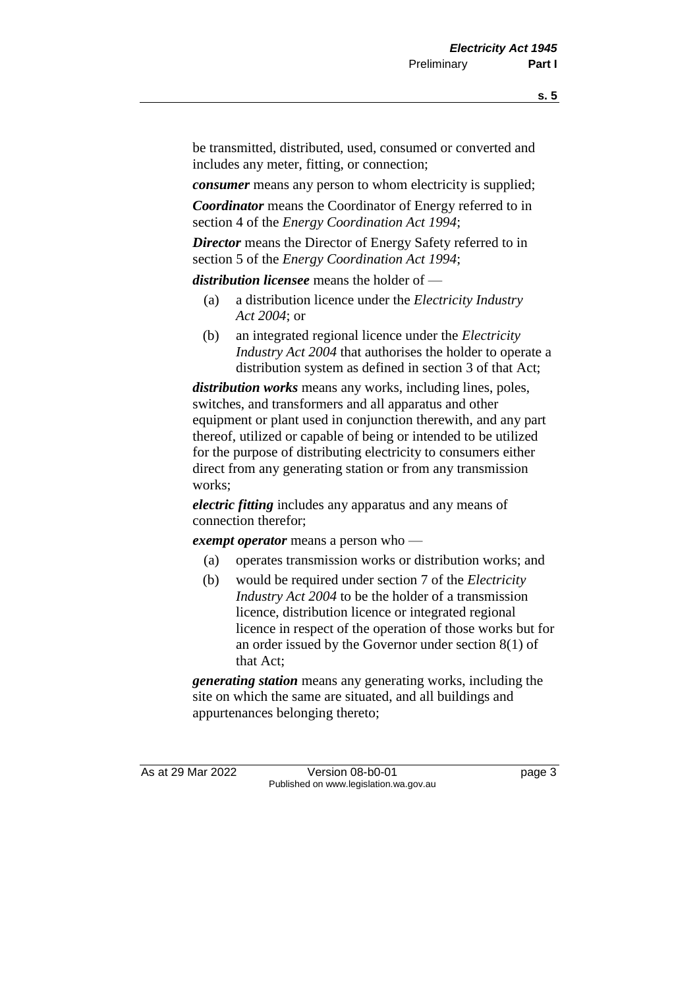be transmitted, distributed, used, consumed or converted and includes any meter, fitting, or connection;

*consumer* means any person to whom electricity is supplied;

*Coordinator* means the Coordinator of Energy referred to in section 4 of the *Energy Coordination Act 1994*;

*Director* means the Director of Energy Safety referred to in section 5 of the *Energy Coordination Act 1994*;

*distribution licensee* means the holder of —

- (a) a distribution licence under the *Electricity Industry Act 2004*; or
- (b) an integrated regional licence under the *Electricity Industry Act 2004* that authorises the holder to operate a distribution system as defined in section 3 of that Act;

*distribution works* means any works, including lines, poles, switches, and transformers and all apparatus and other equipment or plant used in conjunction therewith, and any part thereof, utilized or capable of being or intended to be utilized for the purpose of distributing electricity to consumers either direct from any generating station or from any transmission works;

*electric fitting* includes any apparatus and any means of connection therefor;

*exempt operator* means a person who —

- (a) operates transmission works or distribution works; and
- (b) would be required under section 7 of the *Electricity Industry Act 2004* to be the holder of a transmission licence, distribution licence or integrated regional licence in respect of the operation of those works but for an order issued by the Governor under section 8(1) of that Act;

*generating station* means any generating works, including the site on which the same are situated, and all buildings and appurtenances belonging thereto;

As at 29 Mar 2022 Version 08-b0-01 page 3 Published on www.legislation.wa.gov.au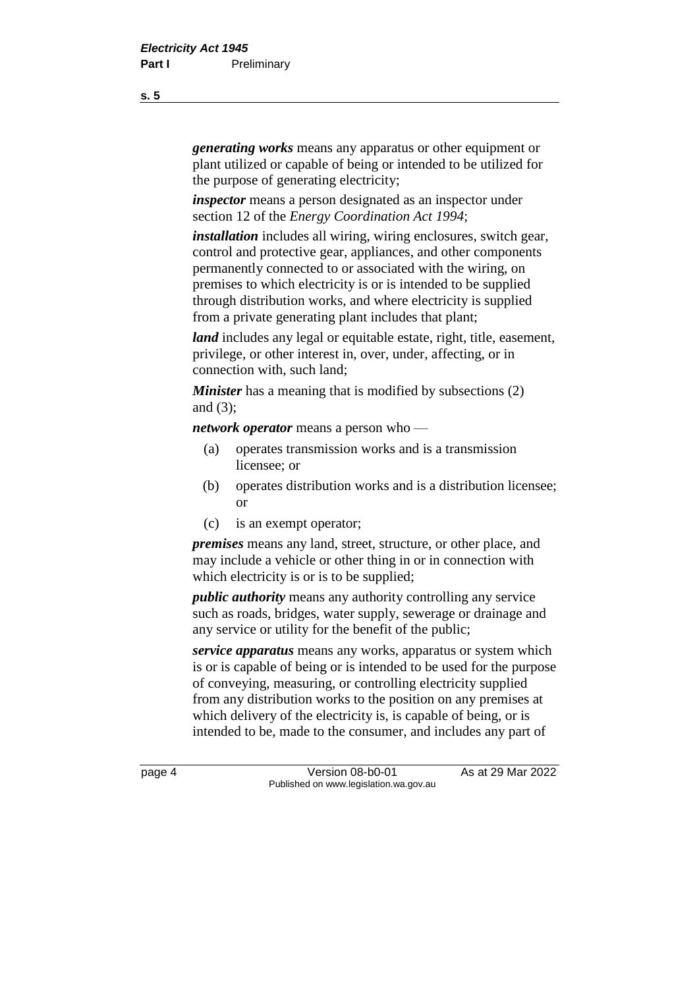*generating works* means any apparatus or other equipment or plant utilized or capable of being or intended to be utilized for the purpose of generating electricity;

*inspector* means a person designated as an inspector under section 12 of the *Energy Coordination Act 1994*;

*installation* includes all wiring, wiring enclosures, switch gear, control and protective gear, appliances, and other components permanently connected to or associated with the wiring, on premises to which electricity is or is intended to be supplied through distribution works, and where electricity is supplied from a private generating plant includes that plant;

*land* includes any legal or equitable estate, right, title, easement, privilege, or other interest in, over, under, affecting, or in connection with, such land;

*Minister* has a meaning that is modified by subsections (2) and (3);

*network operator* means a person who —

- (a) operates transmission works and is a transmission licensee; or
- (b) operates distribution works and is a distribution licensee; or
- (c) is an exempt operator;

*premises* means any land, street, structure, or other place, and may include a vehicle or other thing in or in connection with which electricity is or is to be supplied;

*public authority* means any authority controlling any service such as roads, bridges, water supply, sewerage or drainage and any service or utility for the benefit of the public;

*service apparatus* means any works, apparatus or system which is or is capable of being or is intended to be used for the purpose of conveying, measuring, or controlling electricity supplied from any distribution works to the position on any premises at which delivery of the electricity is, is capable of being, or is intended to be, made to the consumer, and includes any part of

page 4 Version 08-b0-01 As at 29 Mar 2022 Published on www.legislation.wa.gov.au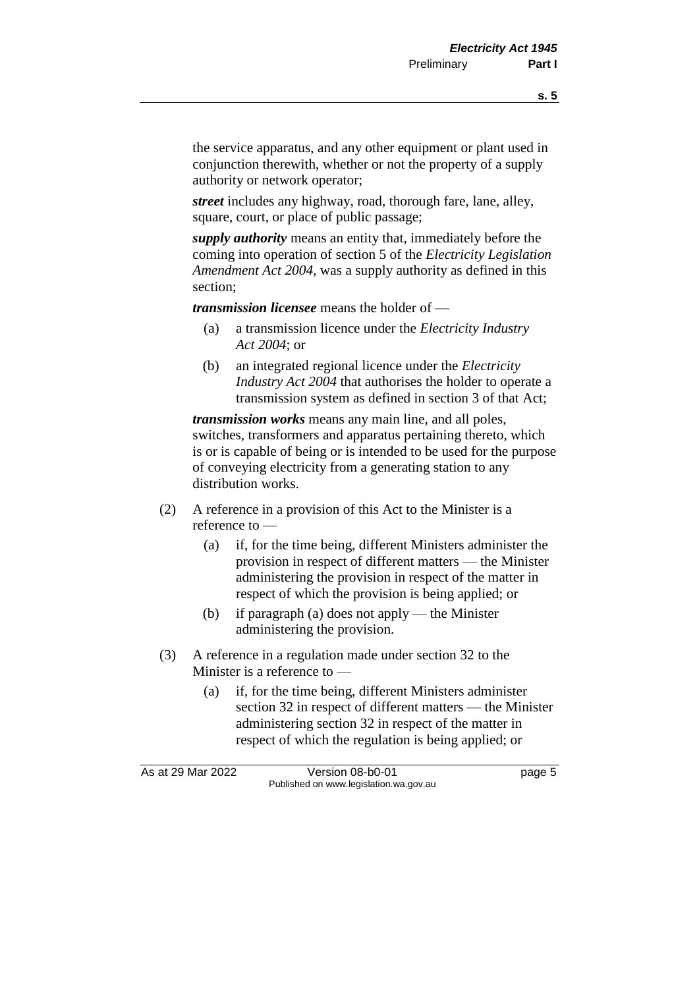the service apparatus, and any other equipment or plant used in conjunction therewith, whether or not the property of a supply authority or network operator;

*street* includes any highway, road, thorough fare, lane, alley, square, court, or place of public passage;

*supply authority* means an entity that, immediately before the coming into operation of section 5 of the *Electricity Legislation Amendment Act 2004*, was a supply authority as defined in this section;

*transmission licensee* means the holder of —

- (a) a transmission licence under the *Electricity Industry Act 2004*; or
- (b) an integrated regional licence under the *Electricity Industry Act 2004* that authorises the holder to operate a transmission system as defined in section 3 of that Act;

*transmission works* means any main line, and all poles, switches, transformers and apparatus pertaining thereto, which is or is capable of being or is intended to be used for the purpose of conveying electricity from a generating station to any distribution works.

- (2) A reference in a provision of this Act to the Minister is a reference to —
	- (a) if, for the time being, different Ministers administer the provision in respect of different matters — the Minister administering the provision in respect of the matter in respect of which the provision is being applied; or
	- (b) if paragraph (a) does not apply the Minister administering the provision.
- (3) A reference in a regulation made under section 32 to the Minister is a reference to —
	- (a) if, for the time being, different Ministers administer section 32 in respect of different matters — the Minister administering section 32 in respect of the matter in respect of which the regulation is being applied; or

As at 29 Mar 2022 Version 08-b0-01 page 5 Published on www.legislation.wa.gov.au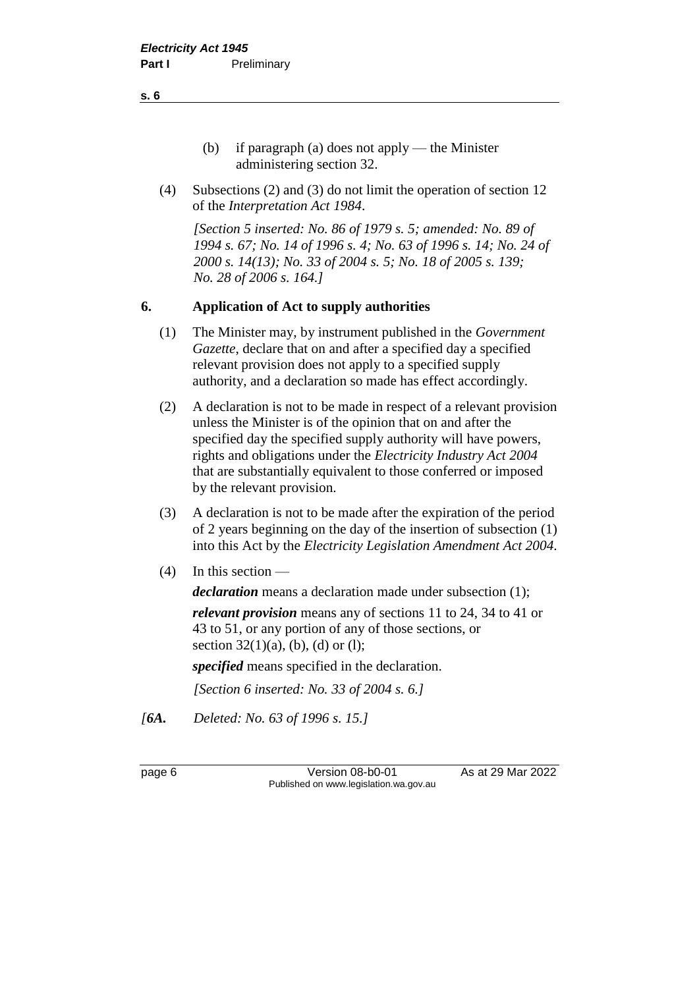- (b) if paragraph (a) does not apply the Minister administering section 32.
- (4) Subsections (2) and (3) do not limit the operation of section 12 of the *Interpretation Act 1984*.

*[Section 5 inserted: No. 86 of 1979 s. 5; amended: No. 89 of 1994 s. 67; No. 14 of 1996 s. 4; No. 63 of 1996 s. 14; No. 24 of 2000 s. 14(13); No. 33 of 2004 s. 5; No. 18 of 2005 s. 139; No. 28 of 2006 s. 164.]*

#### **6. Application of Act to supply authorities**

- (1) The Minister may, by instrument published in the *Government Gazette*, declare that on and after a specified day a specified relevant provision does not apply to a specified supply authority, and a declaration so made has effect accordingly.
- (2) A declaration is not to be made in respect of a relevant provision unless the Minister is of the opinion that on and after the specified day the specified supply authority will have powers, rights and obligations under the *Electricity Industry Act 2004* that are substantially equivalent to those conferred or imposed by the relevant provision.
- (3) A declaration is not to be made after the expiration of the period of 2 years beginning on the day of the insertion of subsection (1) into this Act by the *Electricity Legislation Amendment Act 2004*.
- (4) In this section —

*declaration* means a declaration made under subsection (1);

*relevant provision* means any of sections 11 to 24, 34 to 41 or 43 to 51, or any portion of any of those sections, or section  $32(1)(a)$ , (b), (d) or (l);

*specified* means specified in the declaration.

*[Section 6 inserted: No. 33 of 2004 s. 6.]*

*[6A. Deleted: No. 63 of 1996 s. 15.]*

page 6 **Version 08-b0-01** As at 29 Mar 2022 Published on www.legislation.wa.gov.au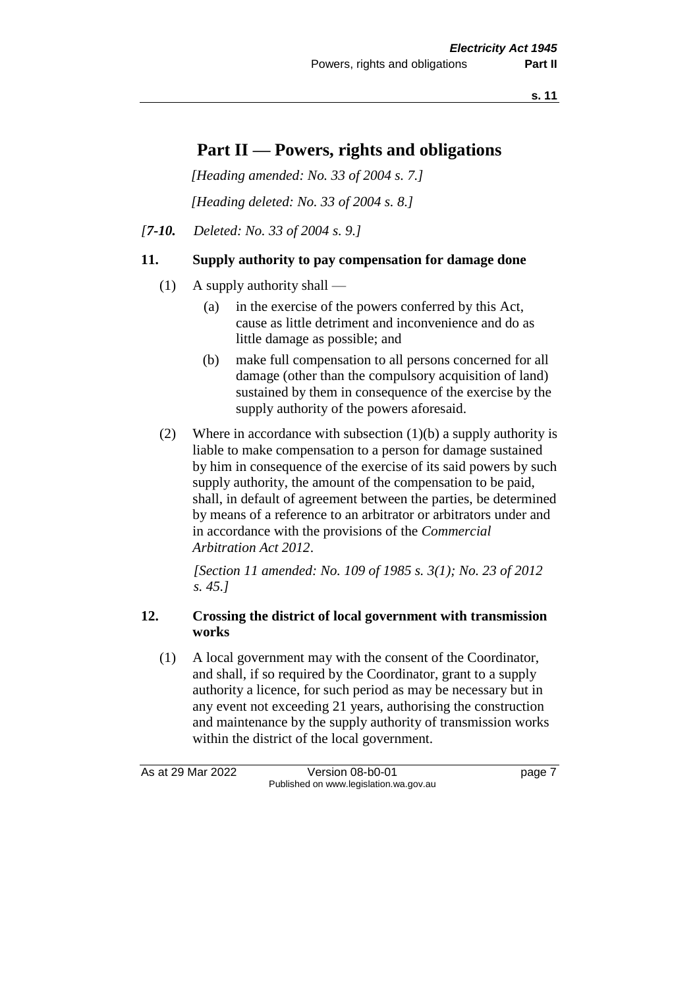**s. 11**

## **Part II — Powers, rights and obligations**

*[Heading amended: No. 33 of 2004 s. 7.]*

*[Heading deleted: No. 33 of 2004 s. 8.]*

*[7-10. Deleted: No. 33 of 2004 s. 9.]*

#### **11. Supply authority to pay compensation for damage done**

- (1) A supply authority shall
	- (a) in the exercise of the powers conferred by this Act, cause as little detriment and inconvenience and do as little damage as possible; and
	- (b) make full compensation to all persons concerned for all damage (other than the compulsory acquisition of land) sustained by them in consequence of the exercise by the supply authority of the powers aforesaid.
- (2) Where in accordance with subsection  $(1)(b)$  a supply authority is liable to make compensation to a person for damage sustained by him in consequence of the exercise of its said powers by such supply authority, the amount of the compensation to be paid, shall, in default of agreement between the parties, be determined by means of a reference to an arbitrator or arbitrators under and in accordance with the provisions of the *Commercial Arbitration Act 2012*.

*[Section 11 amended: No. 109 of 1985 s. 3(1); No. 23 of 2012 s. 45.]*

#### **12. Crossing the district of local government with transmission works**

(1) A local government may with the consent of the Coordinator, and shall, if so required by the Coordinator, grant to a supply authority a licence, for such period as may be necessary but in any event not exceeding 21 years, authorising the construction and maintenance by the supply authority of transmission works within the district of the local government.

As at 29 Mar 2022 Version 08-b0-01 page 7 Published on www.legislation.wa.gov.au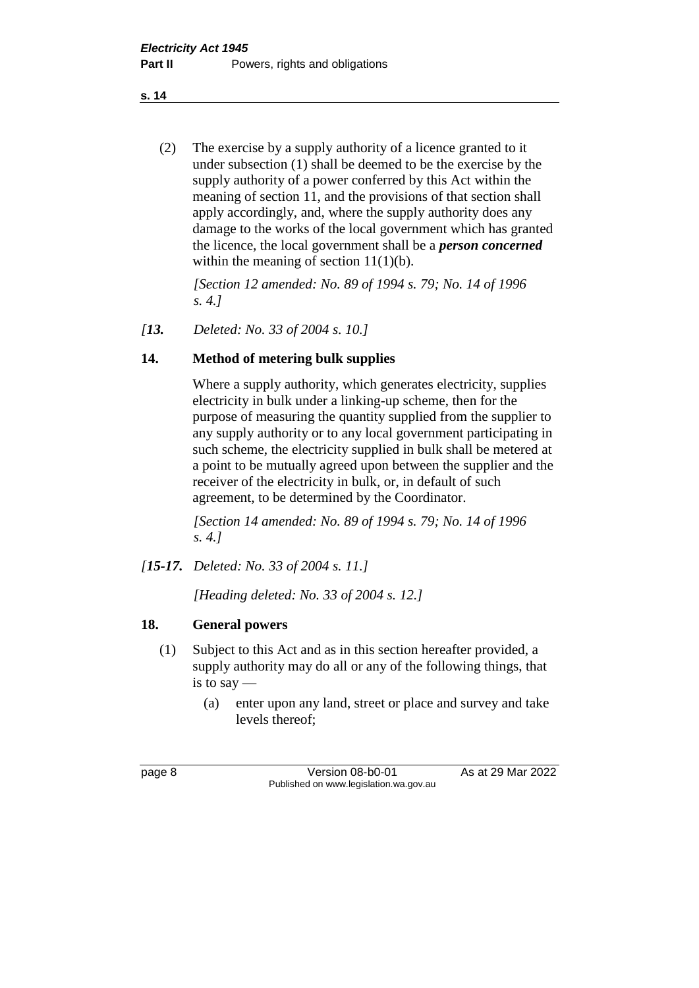**s. 14**

(2) The exercise by a supply authority of a licence granted to it under subsection (1) shall be deemed to be the exercise by the supply authority of a power conferred by this Act within the meaning of section 11, and the provisions of that section shall apply accordingly, and, where the supply authority does any damage to the works of the local government which has granted the licence, the local government shall be a *person concerned* within the meaning of section  $11(1)(b)$ .

*[Section 12 amended: No. 89 of 1994 s. 79; No. 14 of 1996 s. 4.]*

*[13. Deleted: No. 33 of 2004 s. 10.]*

#### **14. Method of metering bulk supplies**

Where a supply authority, which generates electricity, supplies electricity in bulk under a linking-up scheme, then for the purpose of measuring the quantity supplied from the supplier to any supply authority or to any local government participating in such scheme, the electricity supplied in bulk shall be metered at a point to be mutually agreed upon between the supplier and the receiver of the electricity in bulk, or, in default of such agreement, to be determined by the Coordinator.

*[Section 14 amended: No. 89 of 1994 s. 79; No. 14 of 1996 s. 4.]*

*[15-17. Deleted: No. 33 of 2004 s. 11.]*

*[Heading deleted: No. 33 of 2004 s. 12.]*

#### **18. General powers**

- (1) Subject to this Act and as in this section hereafter provided, a supply authority may do all or any of the following things, that is to say —
	- (a) enter upon any land, street or place and survey and take levels thereof;

page 8 Version 08-b0-01 As at 29 Mar 2022 Published on www.legislation.wa.gov.au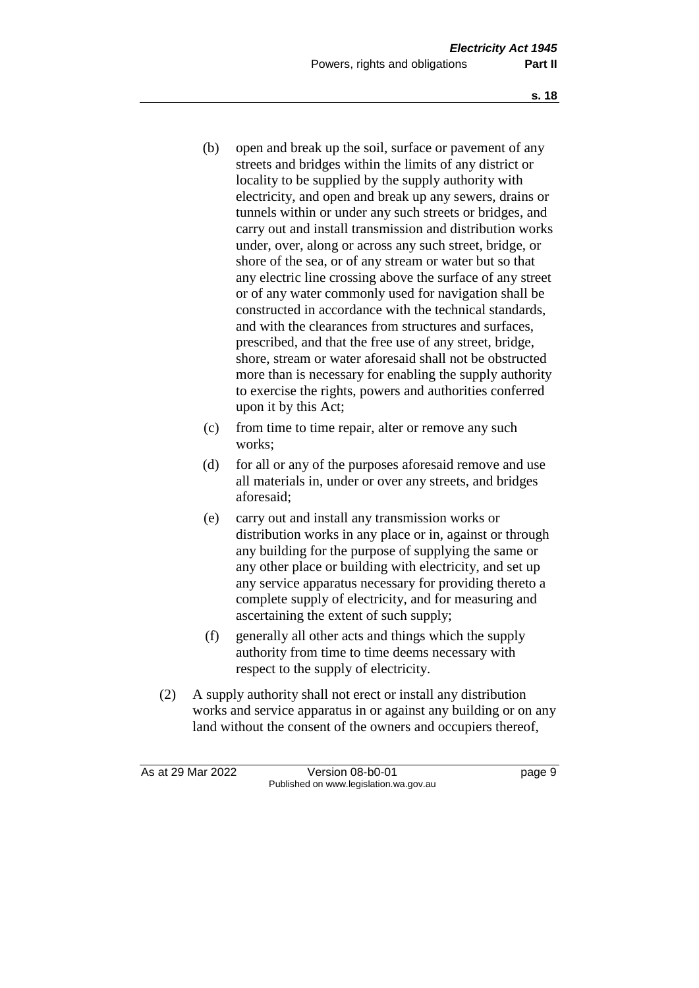- (b) open and break up the soil, surface or pavement of any streets and bridges within the limits of any district or locality to be supplied by the supply authority with electricity, and open and break up any sewers, drains or tunnels within or under any such streets or bridges, and carry out and install transmission and distribution works under, over, along or across any such street, bridge, or shore of the sea, or of any stream or water but so that any electric line crossing above the surface of any street or of any water commonly used for navigation shall be constructed in accordance with the technical standards, and with the clearances from structures and surfaces, prescribed, and that the free use of any street, bridge, shore, stream or water aforesaid shall not be obstructed more than is necessary for enabling the supply authority to exercise the rights, powers and authorities conferred upon it by this Act;
- (c) from time to time repair, alter or remove any such works;
- (d) for all or any of the purposes aforesaid remove and use all materials in, under or over any streets, and bridges aforesaid;
- (e) carry out and install any transmission works or distribution works in any place or in, against or through any building for the purpose of supplying the same or any other place or building with electricity, and set up any service apparatus necessary for providing thereto a complete supply of electricity, and for measuring and ascertaining the extent of such supply;
- (f) generally all other acts and things which the supply authority from time to time deems necessary with respect to the supply of electricity.
- (2) A supply authority shall not erect or install any distribution works and service apparatus in or against any building or on any land without the consent of the owners and occupiers thereof,

As at 29 Mar 2022 Version 08-b0-01 page 9 Published on www.legislation.wa.gov.au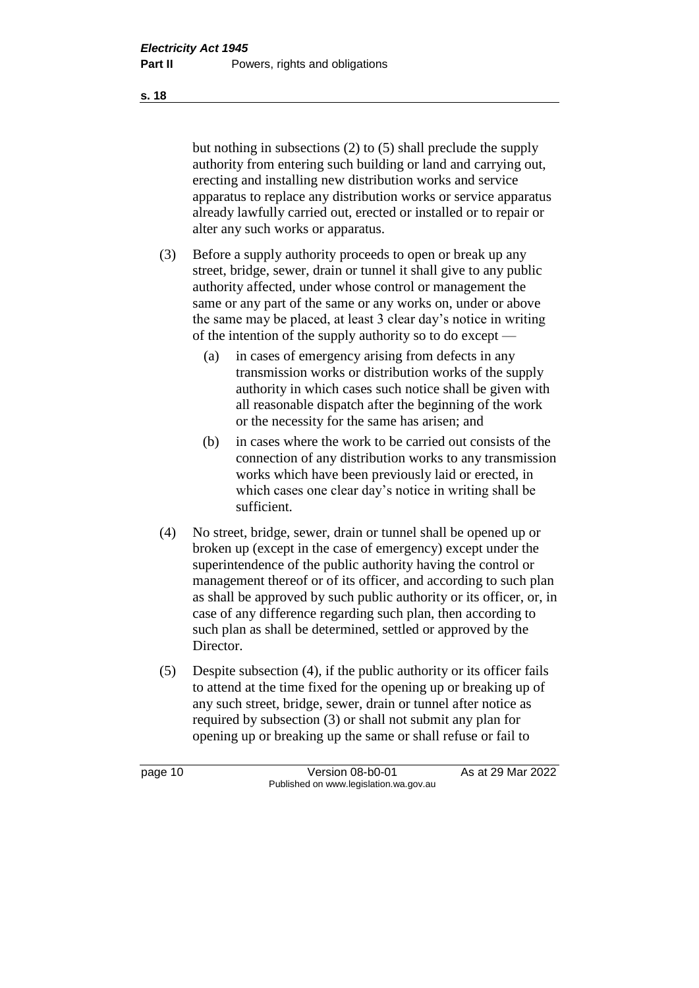but nothing in subsections (2) to (5) shall preclude the supply authority from entering such building or land and carrying out, erecting and installing new distribution works and service apparatus to replace any distribution works or service apparatus already lawfully carried out, erected or installed or to repair or alter any such works or apparatus.

- (3) Before a supply authority proceeds to open or break up any street, bridge, sewer, drain or tunnel it shall give to any public authority affected, under whose control or management the same or any part of the same or any works on, under or above the same may be placed, at least 3 clear day's notice in writing of the intention of the supply authority so to do except —
	- (a) in cases of emergency arising from defects in any transmission works or distribution works of the supply authority in which cases such notice shall be given with all reasonable dispatch after the beginning of the work or the necessity for the same has arisen; and
	- (b) in cases where the work to be carried out consists of the connection of any distribution works to any transmission works which have been previously laid or erected, in which cases one clear day's notice in writing shall be sufficient.
- (4) No street, bridge, sewer, drain or tunnel shall be opened up or broken up (except in the case of emergency) except under the superintendence of the public authority having the control or management thereof or of its officer, and according to such plan as shall be approved by such public authority or its officer, or, in case of any difference regarding such plan, then according to such plan as shall be determined, settled or approved by the Director.
- (5) Despite subsection (4), if the public authority or its officer fails to attend at the time fixed for the opening up or breaking up of any such street, bridge, sewer, drain or tunnel after notice as required by subsection (3) or shall not submit any plan for opening up or breaking up the same or shall refuse or fail to

page 10 **Version 08-b0-01** As at 29 Mar 2022 Published on www.legislation.wa.gov.au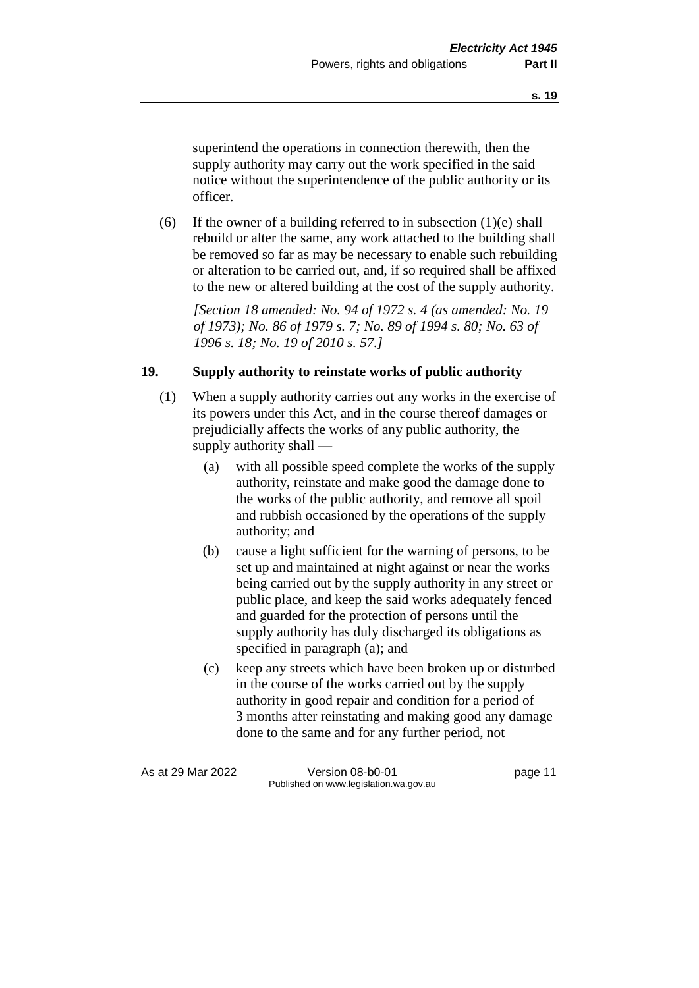superintend the operations in connection therewith, then the supply authority may carry out the work specified in the said notice without the superintendence of the public authority or its officer.

(6) If the owner of a building referred to in subsection  $(1)(e)$  shall rebuild or alter the same, any work attached to the building shall be removed so far as may be necessary to enable such rebuilding or alteration to be carried out, and, if so required shall be affixed to the new or altered building at the cost of the supply authority.

*[Section 18 amended: No. 94 of 1972 s. 4 (as amended: No. 19 of 1973); No. 86 of 1979 s. 7; No. 89 of 1994 s. 80; No. 63 of 1996 s. 18; No. 19 of 2010 s. 57.]*

#### **19. Supply authority to reinstate works of public authority**

- (1) When a supply authority carries out any works in the exercise of its powers under this Act, and in the course thereof damages or prejudicially affects the works of any public authority, the supply authority shall —
	- (a) with all possible speed complete the works of the supply authority, reinstate and make good the damage done to the works of the public authority, and remove all spoil and rubbish occasioned by the operations of the supply authority; and
	- (b) cause a light sufficient for the warning of persons, to be set up and maintained at night against or near the works being carried out by the supply authority in any street or public place, and keep the said works adequately fenced and guarded for the protection of persons until the supply authority has duly discharged its obligations as specified in paragraph (a); and
	- (c) keep any streets which have been broken up or disturbed in the course of the works carried out by the supply authority in good repair and condition for a period of 3 months after reinstating and making good any damage done to the same and for any further period, not

As at 29 Mar 2022 Version 08-b0-01 page 11 Published on www.legislation.wa.gov.au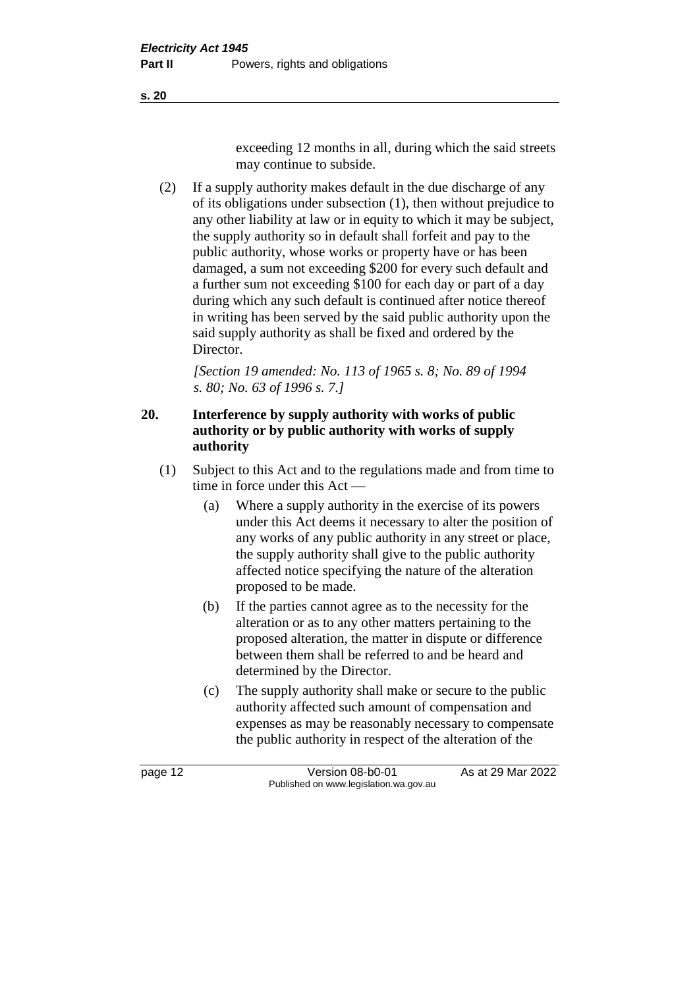**s. 20**

exceeding 12 months in all, during which the said streets may continue to subside.

(2) If a supply authority makes default in the due discharge of any of its obligations under subsection (1), then without prejudice to any other liability at law or in equity to which it may be subject, the supply authority so in default shall forfeit and pay to the public authority, whose works or property have or has been damaged, a sum not exceeding \$200 for every such default and a further sum not exceeding \$100 for each day or part of a day during which any such default is continued after notice thereof in writing has been served by the said public authority upon the said supply authority as shall be fixed and ordered by the Director.

*[Section 19 amended: No. 113 of 1965 s. 8; No. 89 of 1994 s. 80; No. 63 of 1996 s. 7.]*

#### **20. Interference by supply authority with works of public authority or by public authority with works of supply authority**

- (1) Subject to this Act and to the regulations made and from time to time in force under this Act —
	- (a) Where a supply authority in the exercise of its powers under this Act deems it necessary to alter the position of any works of any public authority in any street or place, the supply authority shall give to the public authority affected notice specifying the nature of the alteration proposed to be made.
	- (b) If the parties cannot agree as to the necessity for the alteration or as to any other matters pertaining to the proposed alteration, the matter in dispute or difference between them shall be referred to and be heard and determined by the Director.
	- (c) The supply authority shall make or secure to the public authority affected such amount of compensation and expenses as may be reasonably necessary to compensate the public authority in respect of the alteration of the

page 12 Version 08-b0-01 As at 29 Mar 2022 Published on www.legislation.wa.gov.au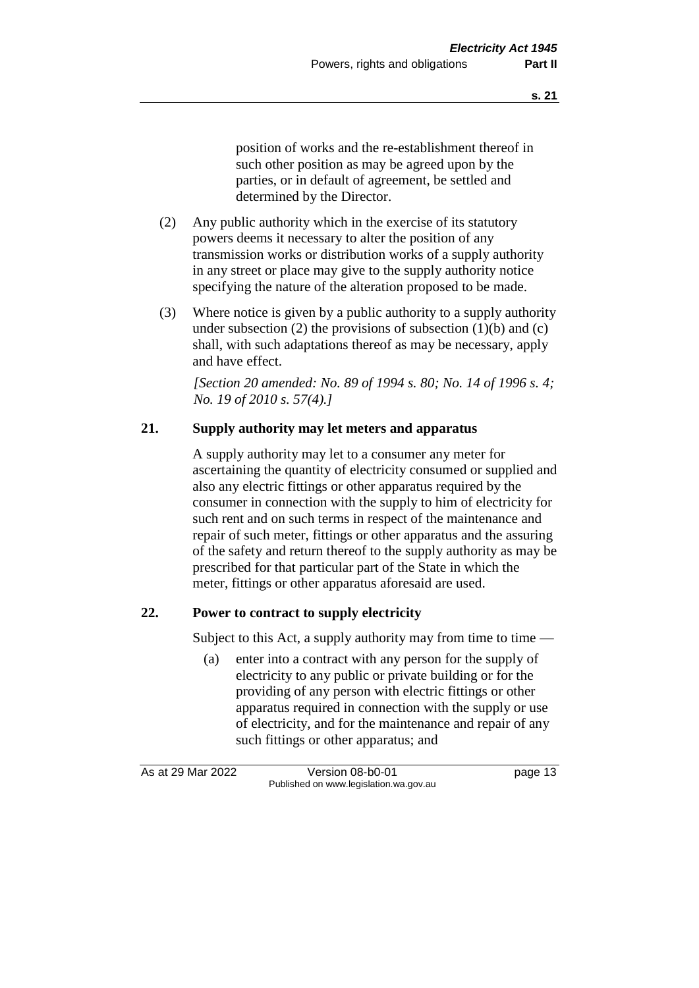position of works and the re-establishment thereof in such other position as may be agreed upon by the parties, or in default of agreement, be settled and determined by the Director.

- (2) Any public authority which in the exercise of its statutory powers deems it necessary to alter the position of any transmission works or distribution works of a supply authority in any street or place may give to the supply authority notice specifying the nature of the alteration proposed to be made.
- (3) Where notice is given by a public authority to a supply authority under subsection (2) the provisions of subsection  $(1)(b)$  and  $(c)$ shall, with such adaptations thereof as may be necessary, apply and have effect.

*[Section 20 amended: No. 89 of 1994 s. 80; No. 14 of 1996 s. 4; No. 19 of 2010 s. 57(4).]*

#### **21. Supply authority may let meters and apparatus**

A supply authority may let to a consumer any meter for ascertaining the quantity of electricity consumed or supplied and also any electric fittings or other apparatus required by the consumer in connection with the supply to him of electricity for such rent and on such terms in respect of the maintenance and repair of such meter, fittings or other apparatus and the assuring of the safety and return thereof to the supply authority as may be prescribed for that particular part of the State in which the meter, fittings or other apparatus aforesaid are used.

#### **22. Power to contract to supply electricity**

Subject to this Act, a supply authority may from time to time  $-$ 

(a) enter into a contract with any person for the supply of electricity to any public or private building or for the providing of any person with electric fittings or other apparatus required in connection with the supply or use of electricity, and for the maintenance and repair of any such fittings or other apparatus; and

As at 29 Mar 2022 Version 08-b0-01 page 13 Published on www.legislation.wa.gov.au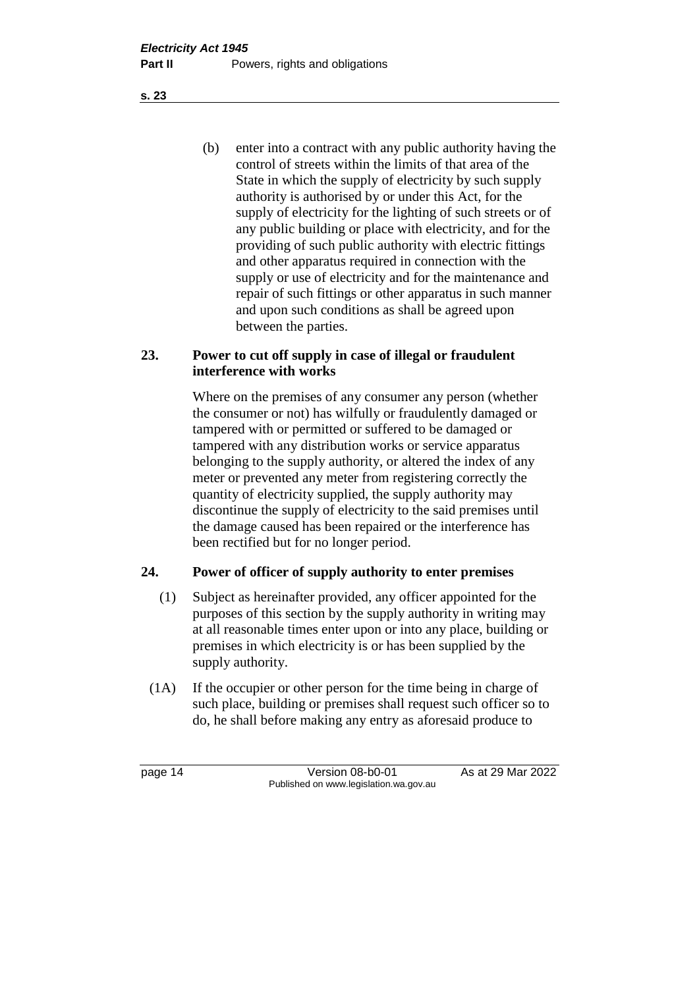(b) enter into a contract with any public authority having the control of streets within the limits of that area of the State in which the supply of electricity by such supply authority is authorised by or under this Act, for the supply of electricity for the lighting of such streets or of any public building or place with electricity, and for the providing of such public authority with electric fittings and other apparatus required in connection with the supply or use of electricity and for the maintenance and repair of such fittings or other apparatus in such manner and upon such conditions as shall be agreed upon between the parties.

#### **23. Power to cut off supply in case of illegal or fraudulent interference with works**

Where on the premises of any consumer any person (whether the consumer or not) has wilfully or fraudulently damaged or tampered with or permitted or suffered to be damaged or tampered with any distribution works or service apparatus belonging to the supply authority, or altered the index of any meter or prevented any meter from registering correctly the quantity of electricity supplied, the supply authority may discontinue the supply of electricity to the said premises until the damage caused has been repaired or the interference has been rectified but for no longer period.

#### **24. Power of officer of supply authority to enter premises**

- (1) Subject as hereinafter provided, any officer appointed for the purposes of this section by the supply authority in writing may at all reasonable times enter upon or into any place, building or premises in which electricity is or has been supplied by the supply authority.
- (1A) If the occupier or other person for the time being in charge of such place, building or premises shall request such officer so to do, he shall before making any entry as aforesaid produce to

page 14 Version 08-b0-01 As at 29 Mar 2022 Published on www.legislation.wa.gov.au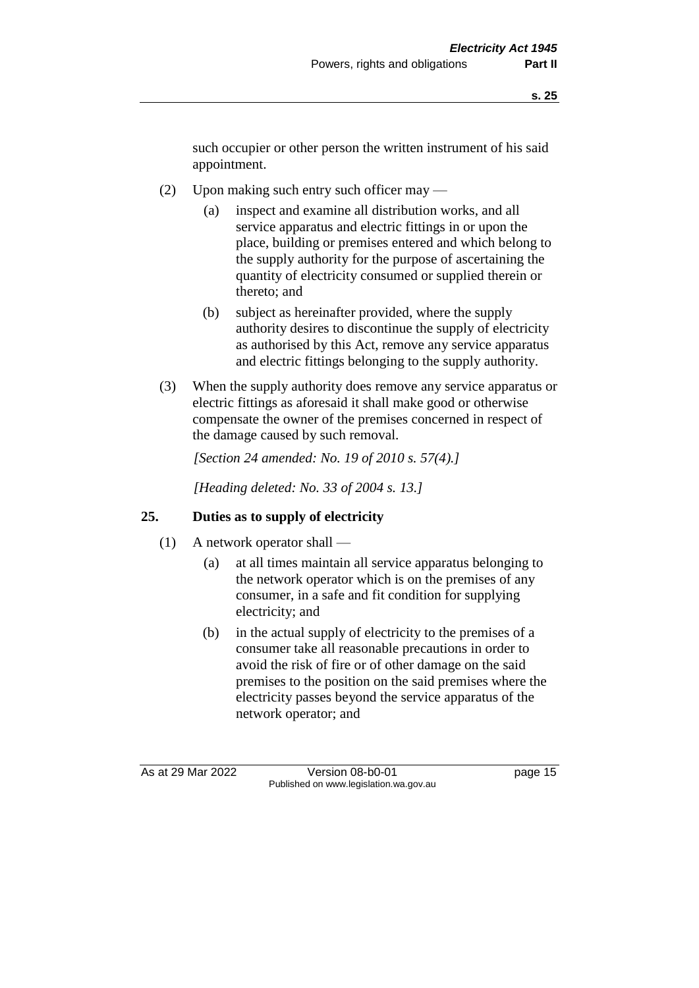such occupier or other person the written instrument of his said appointment.

- (2) Upon making such entry such officer may
	- (a) inspect and examine all distribution works, and all service apparatus and electric fittings in or upon the place, building or premises entered and which belong to the supply authority for the purpose of ascertaining the quantity of electricity consumed or supplied therein or thereto; and
	- (b) subject as hereinafter provided, where the supply authority desires to discontinue the supply of electricity as authorised by this Act, remove any service apparatus and electric fittings belonging to the supply authority.
- (3) When the supply authority does remove any service apparatus or electric fittings as aforesaid it shall make good or otherwise compensate the owner of the premises concerned in respect of the damage caused by such removal.

*[Section 24 amended: No. 19 of 2010 s. 57(4).]*

*[Heading deleted: No. 33 of 2004 s. 13.]*

#### **25. Duties as to supply of electricity**

- (1) A network operator shall
	- (a) at all times maintain all service apparatus belonging to the network operator which is on the premises of any consumer, in a safe and fit condition for supplying electricity; and
	- (b) in the actual supply of electricity to the premises of a consumer take all reasonable precautions in order to avoid the risk of fire or of other damage on the said premises to the position on the said premises where the electricity passes beyond the service apparatus of the network operator; and

As at 29 Mar 2022 Version 08-b0-01 page 15 Published on www.legislation.wa.gov.au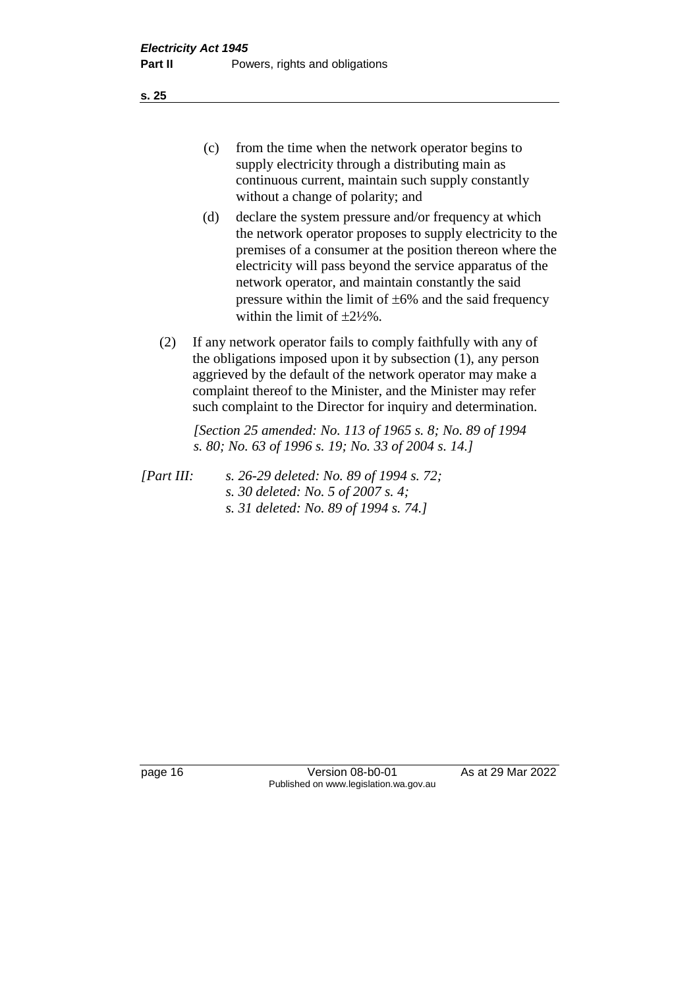**s. 25**

- (c) from the time when the network operator begins to supply electricity through a distributing main as continuous current, maintain such supply constantly without a change of polarity; and
- (d) declare the system pressure and/or frequency at which the network operator proposes to supply electricity to the premises of a consumer at the position thereon where the electricity will pass beyond the service apparatus of the network operator, and maintain constantly the said pressure within the limit of  $\pm 6\%$  and the said frequency within the limit of  $\pm 2\frac{1}{2}\%$ .
- (2) If any network operator fails to comply faithfully with any of the obligations imposed upon it by subsection (1), any person aggrieved by the default of the network operator may make a complaint thereof to the Minister, and the Minister may refer such complaint to the Director for inquiry and determination.

*[Section 25 amended: No. 113 of 1965 s. 8; No. 89 of 1994 s. 80; No. 63 of 1996 s. 19; No. 33 of 2004 s. 14.]*

*[Part III: s. 26-29 deleted: No. 89 of 1994 s. 72; s. 30 deleted: No. 5 of 2007 s. 4; s. 31 deleted: No. 89 of 1994 s. 74.]*

page 16 Version 08-b0-01 As at 29 Mar 2022 Published on www.legislation.wa.gov.au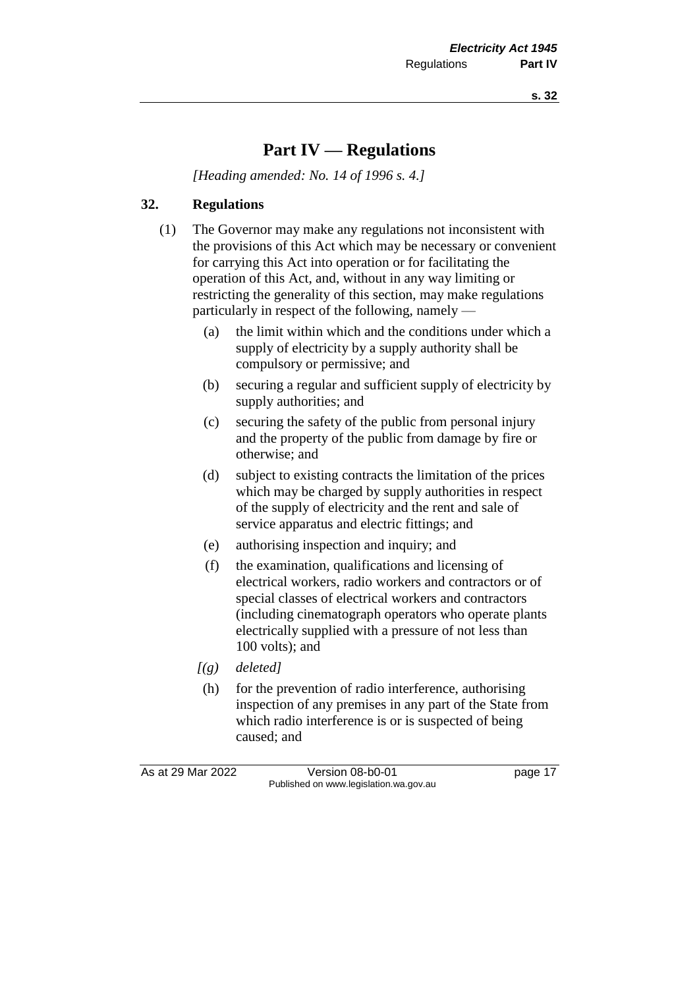**s. 32**

## **Part IV — Regulations**

*[Heading amended: No. 14 of 1996 s. 4.]*

#### **32. Regulations**

- (1) The Governor may make any regulations not inconsistent with the provisions of this Act which may be necessary or convenient for carrying this Act into operation or for facilitating the operation of this Act, and, without in any way limiting or restricting the generality of this section, may make regulations particularly in respect of the following, namely —
	- (a) the limit within which and the conditions under which a supply of electricity by a supply authority shall be compulsory or permissive; and
	- (b) securing a regular and sufficient supply of electricity by supply authorities; and
	- (c) securing the safety of the public from personal injury and the property of the public from damage by fire or otherwise; and
	- (d) subject to existing contracts the limitation of the prices which may be charged by supply authorities in respect of the supply of electricity and the rent and sale of service apparatus and electric fittings; and
	- (e) authorising inspection and inquiry; and
	- (f) the examination, qualifications and licensing of electrical workers, radio workers and contractors or of special classes of electrical workers and contractors (including cinematograph operators who operate plants electrically supplied with a pressure of not less than 100 volts); and
	- *[(g) deleted]*
	- (h) for the prevention of radio interference, authorising inspection of any premises in any part of the State from which radio interference is or is suspected of being caused; and

As at 29 Mar 2022 Version 08-b0-01 page 17 Published on www.legislation.wa.gov.au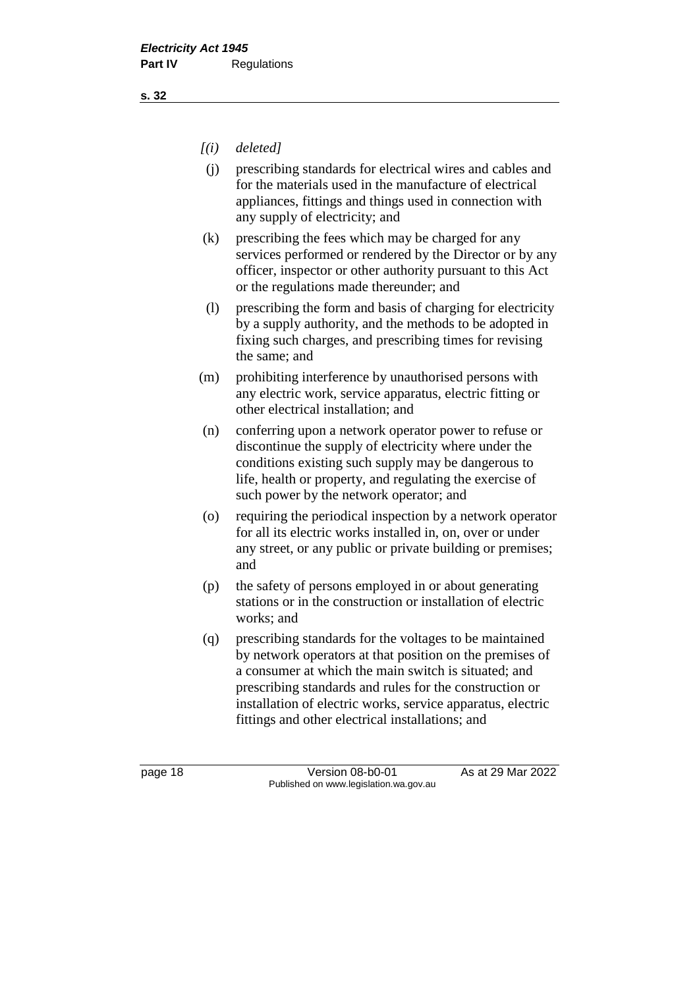#### *[(i) deleted]*

- (j) prescribing standards for electrical wires and cables and for the materials used in the manufacture of electrical appliances, fittings and things used in connection with any supply of electricity; and
- (k) prescribing the fees which may be charged for any services performed or rendered by the Director or by any officer, inspector or other authority pursuant to this Act or the regulations made thereunder; and
- (l) prescribing the form and basis of charging for electricity by a supply authority, and the methods to be adopted in fixing such charges, and prescribing times for revising the same; and
- (m) prohibiting interference by unauthorised persons with any electric work, service apparatus, electric fitting or other electrical installation; and
- (n) conferring upon a network operator power to refuse or discontinue the supply of electricity where under the conditions existing such supply may be dangerous to life, health or property, and regulating the exercise of such power by the network operator; and
- (o) requiring the periodical inspection by a network operator for all its electric works installed in, on, over or under any street, or any public or private building or premises; and
- (p) the safety of persons employed in or about generating stations or in the construction or installation of electric works; and
- (q) prescribing standards for the voltages to be maintained by network operators at that position on the premises of a consumer at which the main switch is situated; and prescribing standards and rules for the construction or installation of electric works, service apparatus, electric fittings and other electrical installations; and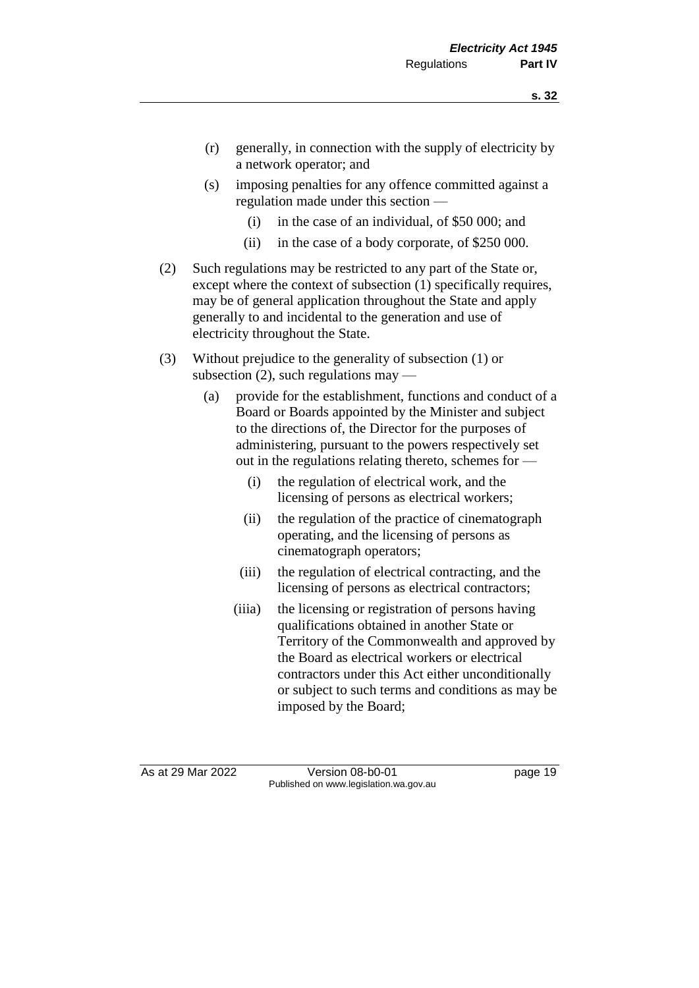- (r) generally, in connection with the supply of electricity by a network operator; and
- (s) imposing penalties for any offence committed against a regulation made under this section —
	- (i) in the case of an individual, of \$50 000; and
	- (ii) in the case of a body corporate, of \$250 000.
- (2) Such regulations may be restricted to any part of the State or, except where the context of subsection (1) specifically requires, may be of general application throughout the State and apply generally to and incidental to the generation and use of electricity throughout the State.
- (3) Without prejudice to the generality of subsection (1) or subsection  $(2)$ , such regulations may —
	- (a) provide for the establishment, functions and conduct of a Board or Boards appointed by the Minister and subject to the directions of, the Director for the purposes of administering, pursuant to the powers respectively set out in the regulations relating thereto, schemes for —
		- (i) the regulation of electrical work, and the licensing of persons as electrical workers;
		- (ii) the regulation of the practice of cinematograph operating, and the licensing of persons as cinematograph operators;
		- (iii) the regulation of electrical contracting, and the licensing of persons as electrical contractors;
		- (iiia) the licensing or registration of persons having qualifications obtained in another State or Territory of the Commonwealth and approved by the Board as electrical workers or electrical contractors under this Act either unconditionally or subject to such terms and conditions as may be imposed by the Board;

As at 29 Mar 2022 Version 08-b0-01 page 19 Published on www.legislation.wa.gov.au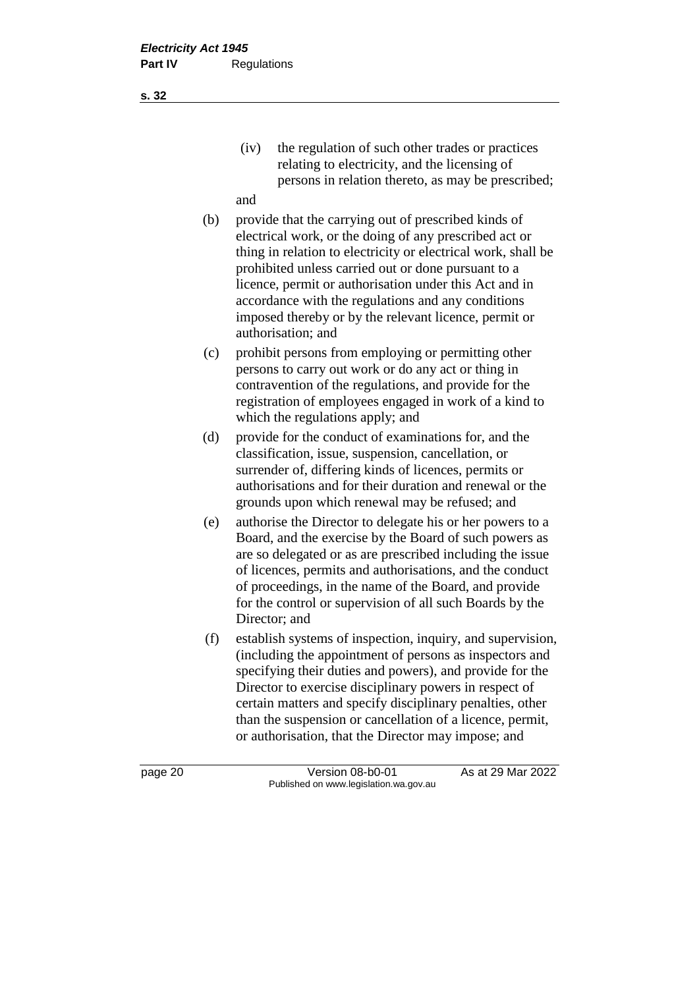- (iv) the regulation of such other trades or practices relating to electricity, and the licensing of persons in relation thereto, as may be prescribed;
- and
- (b) provide that the carrying out of prescribed kinds of electrical work, or the doing of any prescribed act or thing in relation to electricity or electrical work, shall be prohibited unless carried out or done pursuant to a licence, permit or authorisation under this Act and in accordance with the regulations and any conditions imposed thereby or by the relevant licence, permit or authorisation; and
- (c) prohibit persons from employing or permitting other persons to carry out work or do any act or thing in contravention of the regulations, and provide for the registration of employees engaged in work of a kind to which the regulations apply; and
- (d) provide for the conduct of examinations for, and the classification, issue, suspension, cancellation, or surrender of, differing kinds of licences, permits or authorisations and for their duration and renewal or the grounds upon which renewal may be refused; and
- (e) authorise the Director to delegate his or her powers to a Board, and the exercise by the Board of such powers as are so delegated or as are prescribed including the issue of licences, permits and authorisations, and the conduct of proceedings, in the name of the Board, and provide for the control or supervision of all such Boards by the Director; and
- (f) establish systems of inspection, inquiry, and supervision, (including the appointment of persons as inspectors and specifying their duties and powers), and provide for the Director to exercise disciplinary powers in respect of certain matters and specify disciplinary penalties, other than the suspension or cancellation of a licence, permit, or authorisation, that the Director may impose; and

page 20 **Version 08-b0-01** As at 29 Mar 2022 Published on www.legislation.wa.gov.au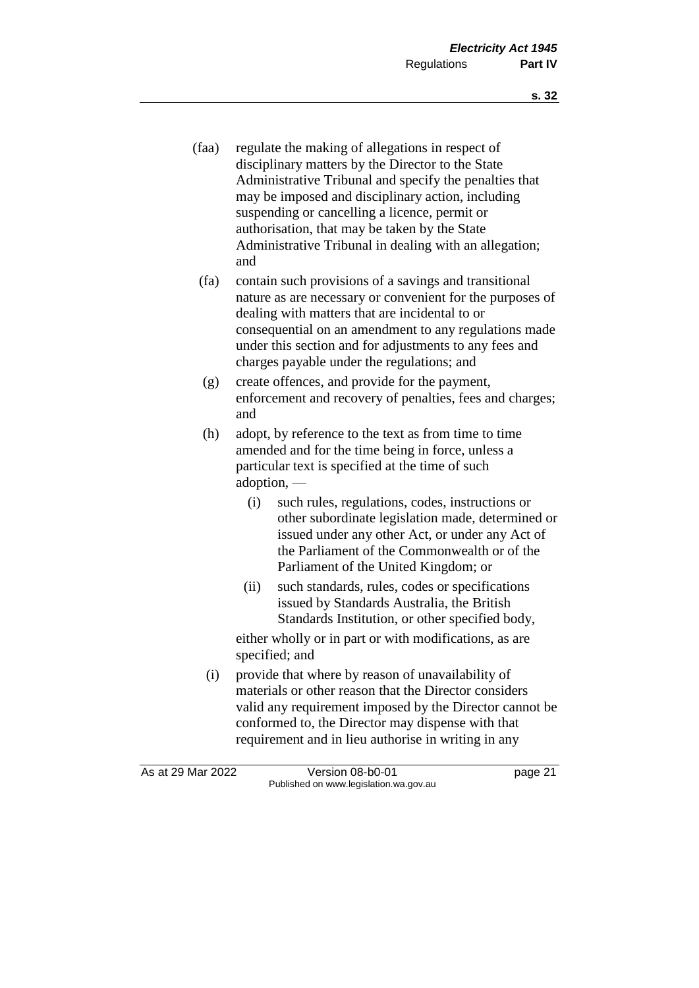- (faa) regulate the making of allegations in respect of disciplinary matters by the Director to the State Administrative Tribunal and specify the penalties that may be imposed and disciplinary action, including suspending or cancelling a licence, permit or authorisation, that may be taken by the State Administrative Tribunal in dealing with an allegation; and
- (fa) contain such provisions of a savings and transitional nature as are necessary or convenient for the purposes of dealing with matters that are incidental to or consequential on an amendment to any regulations made under this section and for adjustments to any fees and charges payable under the regulations; and
- (g) create offences, and provide for the payment, enforcement and recovery of penalties, fees and charges; and
- (h) adopt, by reference to the text as from time to time amended and for the time being in force, unless a particular text is specified at the time of such adoption, —
	- (i) such rules, regulations, codes, instructions or other subordinate legislation made, determined or issued under any other Act, or under any Act of the Parliament of the Commonwealth or of the Parliament of the United Kingdom; or
	- (ii) such standards, rules, codes or specifications issued by Standards Australia, the British Standards Institution, or other specified body,

either wholly or in part or with modifications, as are specified; and

(i) provide that where by reason of unavailability of materials or other reason that the Director considers valid any requirement imposed by the Director cannot be conformed to, the Director may dispense with that requirement and in lieu authorise in writing in any

As at 29 Mar 2022 Version 08-b0-01 page 21 Published on www.legislation.wa.gov.au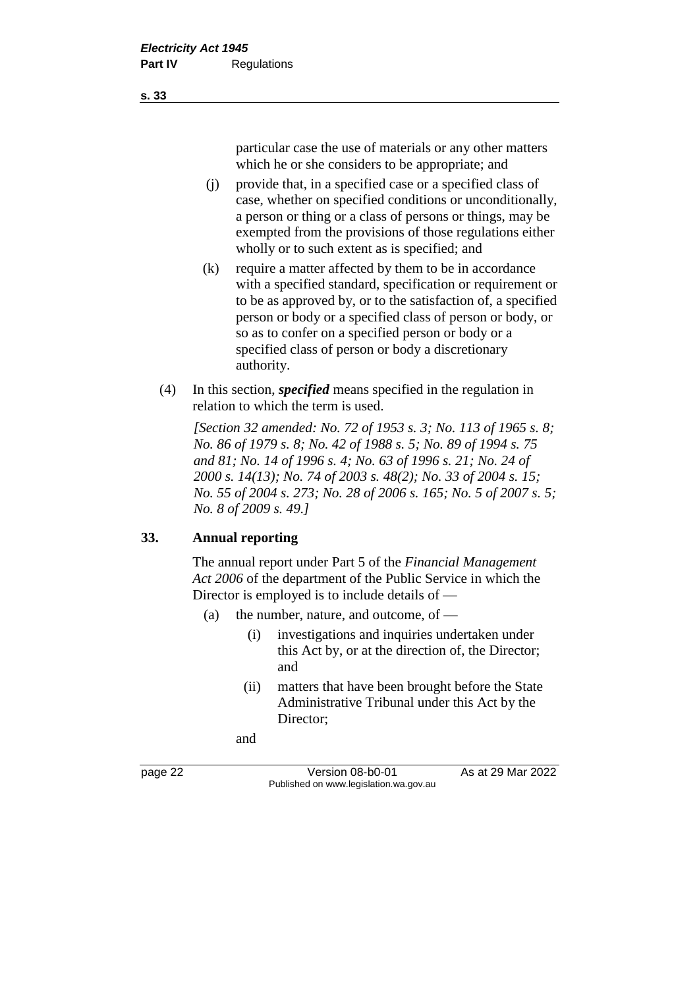particular case the use of materials or any other matters which he or she considers to be appropriate; and

- (j) provide that, in a specified case or a specified class of case, whether on specified conditions or unconditionally, a person or thing or a class of persons or things, may be exempted from the provisions of those regulations either wholly or to such extent as is specified; and
- (k) require a matter affected by them to be in accordance with a specified standard, specification or requirement or to be as approved by, or to the satisfaction of, a specified person or body or a specified class of person or body, or so as to confer on a specified person or body or a specified class of person or body a discretionary authority.
- (4) In this section, *specified* means specified in the regulation in relation to which the term is used.

*[Section 32 amended: No. 72 of 1953 s. 3; No. 113 of 1965 s. 8; No. 86 of 1979 s. 8; No. 42 of 1988 s. 5; No. 89 of 1994 s. 75 and 81; No. 14 of 1996 s. 4; No. 63 of 1996 s. 21; No. 24 of 2000 s. 14(13); No. 74 of 2003 s. 48(2); No. 33 of 2004 s. 15; No. 55 of 2004 s. 273; No. 28 of 2006 s. 165; No. 5 of 2007 s. 5; No. 8 of 2009 s. 49.]*

#### **33. Annual reporting**

The annual report under Part 5 of the *Financial Management Act 2006* of the department of the Public Service in which the Director is employed is to include details of —

- (a) the number, nature, and outcome, of  $-$ 
	- (i) investigations and inquiries undertaken under this Act by, or at the direction of, the Director; and
	- (ii) matters that have been brought before the State Administrative Tribunal under this Act by the Director;

and

page 22 **Version 08-b0-01** As at 29 Mar 2022 Published on www.legislation.wa.gov.au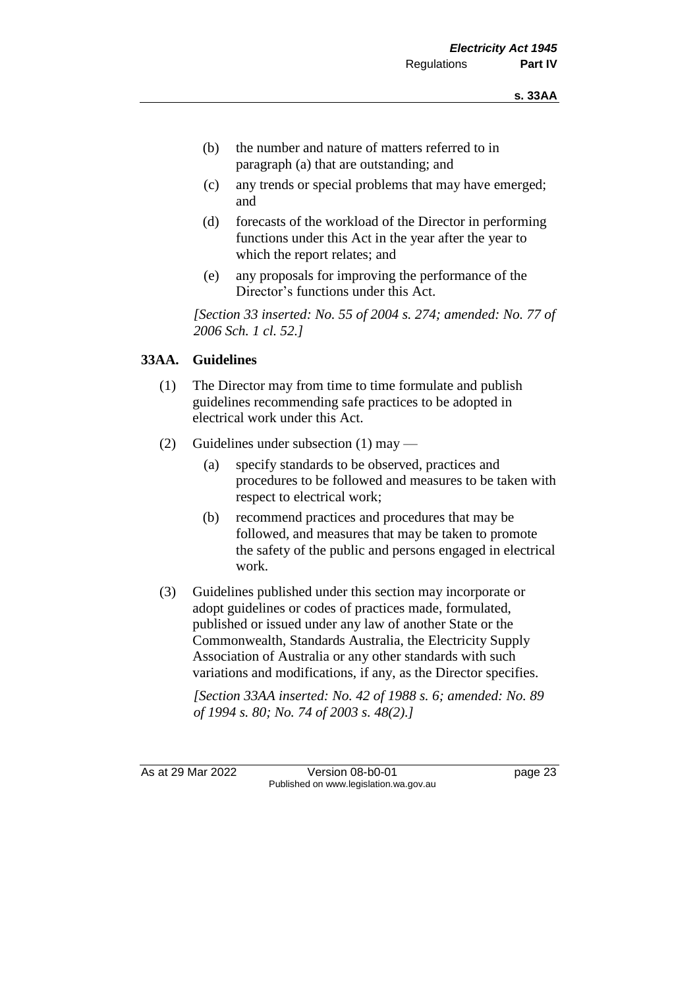- (b) the number and nature of matters referred to in paragraph (a) that are outstanding; and
- (c) any trends or special problems that may have emerged; and
- (d) forecasts of the workload of the Director in performing functions under this Act in the year after the year to which the report relates; and
- (e) any proposals for improving the performance of the Director's functions under this Act.

*[Section 33 inserted: No. 55 of 2004 s. 274; amended: No. 77 of 2006 Sch. 1 cl. 52.]*

#### **33AA. Guidelines**

- (1) The Director may from time to time formulate and publish guidelines recommending safe practices to be adopted in electrical work under this Act.
- (2) Guidelines under subsection (1) may
	- (a) specify standards to be observed, practices and procedures to be followed and measures to be taken with respect to electrical work;
	- (b) recommend practices and procedures that may be followed, and measures that may be taken to promote the safety of the public and persons engaged in electrical work.
- (3) Guidelines published under this section may incorporate or adopt guidelines or codes of practices made, formulated, published or issued under any law of another State or the Commonwealth, Standards Australia, the Electricity Supply Association of Australia or any other standards with such variations and modifications, if any, as the Director specifies.

*[Section 33AA inserted: No. 42 of 1988 s. 6; amended: No. 89 of 1994 s. 80; No. 74 of 2003 s. 48(2).]*

As at 29 Mar 2022 Version 08-b0-01 page 23 Published on www.legislation.wa.gov.au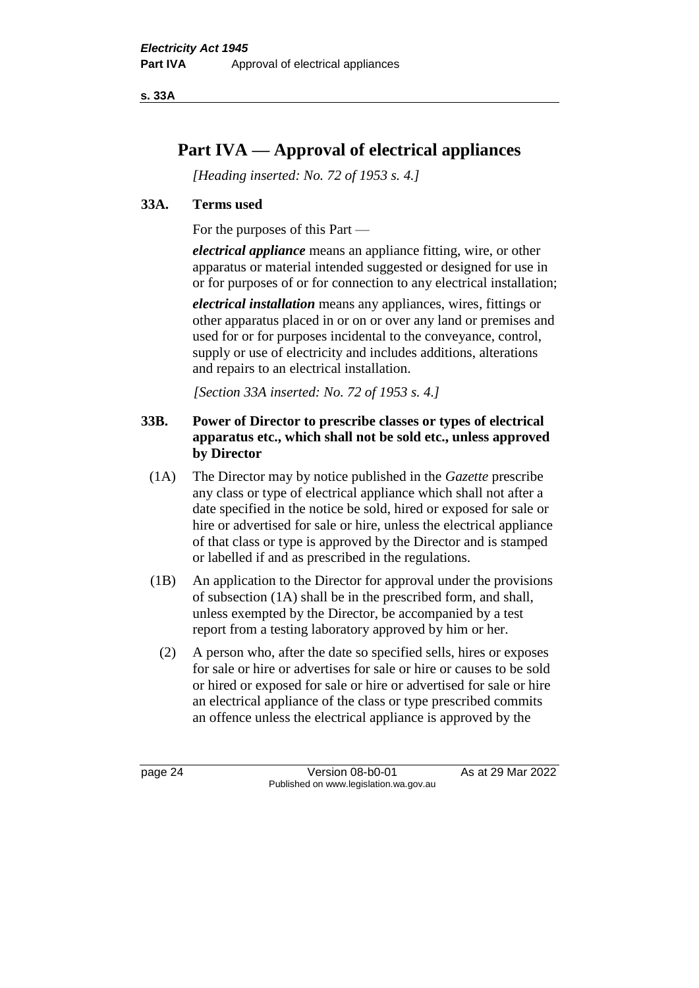**s. 33A**

## **Part IVA — Approval of electrical appliances**

*[Heading inserted: No. 72 of 1953 s. 4.]*

#### **33A. Terms used**

For the purposes of this Part —

*electrical appliance* means an appliance fitting, wire, or other apparatus or material intended suggested or designed for use in or for purposes of or for connection to any electrical installation;

*electrical installation* means any appliances, wires, fittings or other apparatus placed in or on or over any land or premises and used for or for purposes incidental to the conveyance, control, supply or use of electricity and includes additions, alterations and repairs to an electrical installation.

*[Section 33A inserted: No. 72 of 1953 s. 4.]*

#### **33B. Power of Director to prescribe classes or types of electrical apparatus etc., which shall not be sold etc., unless approved by Director**

- (1A) The Director may by notice published in the *Gazette* prescribe any class or type of electrical appliance which shall not after a date specified in the notice be sold, hired or exposed for sale or hire or advertised for sale or hire, unless the electrical appliance of that class or type is approved by the Director and is stamped or labelled if and as prescribed in the regulations.
- (1B) An application to the Director for approval under the provisions of subsection (1A) shall be in the prescribed form, and shall, unless exempted by the Director, be accompanied by a test report from a testing laboratory approved by him or her.
	- (2) A person who, after the date so specified sells, hires or exposes for sale or hire or advertises for sale or hire or causes to be sold or hired or exposed for sale or hire or advertised for sale or hire an electrical appliance of the class or type prescribed commits an offence unless the electrical appliance is approved by the

page 24 Version 08-b0-01 As at 29 Mar 2022 Published on www.legislation.wa.gov.au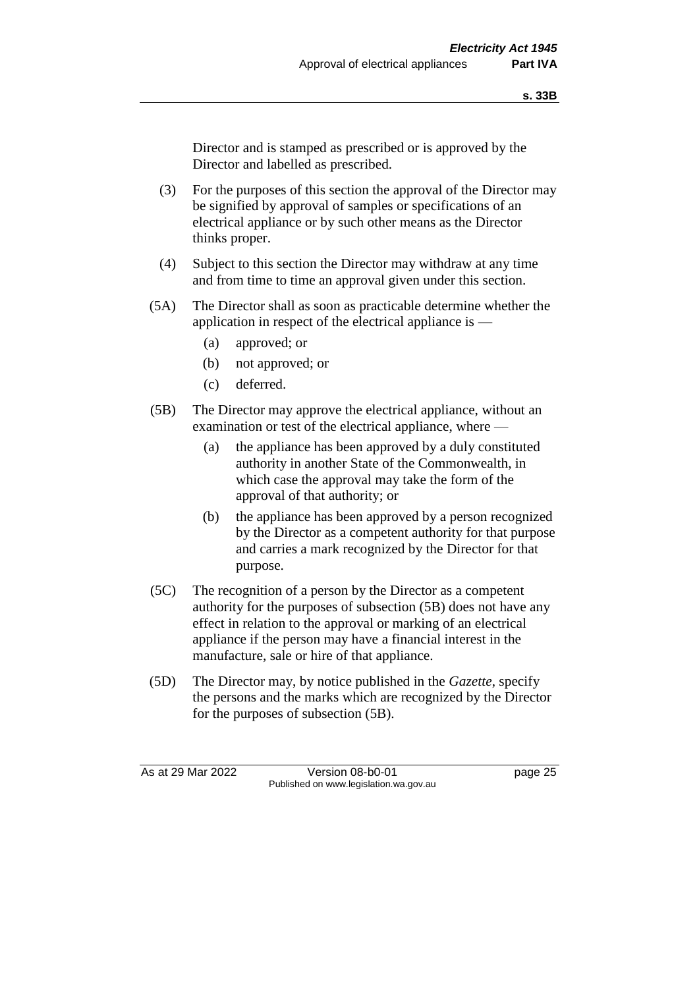Director and is stamped as prescribed or is approved by the Director and labelled as prescribed.

- (3) For the purposes of this section the approval of the Director may be signified by approval of samples or specifications of an electrical appliance or by such other means as the Director thinks proper.
- (4) Subject to this section the Director may withdraw at any time and from time to time an approval given under this section.
- (5A) The Director shall as soon as practicable determine whether the application in respect of the electrical appliance is —
	- (a) approved; or
	- (b) not approved; or
	- (c) deferred.
- (5B) The Director may approve the electrical appliance, without an examination or test of the electrical appliance, where —
	- (a) the appliance has been approved by a duly constituted authority in another State of the Commonwealth, in which case the approval may take the form of the approval of that authority; or
	- (b) the appliance has been approved by a person recognized by the Director as a competent authority for that purpose and carries a mark recognized by the Director for that purpose.
- (5C) The recognition of a person by the Director as a competent authority for the purposes of subsection (5B) does not have any effect in relation to the approval or marking of an electrical appliance if the person may have a financial interest in the manufacture, sale or hire of that appliance.
- (5D) The Director may, by notice published in the *Gazette*, specify the persons and the marks which are recognized by the Director for the purposes of subsection (5B).

As at 29 Mar 2022 Version 08-b0-01 page 25 Published on www.legislation.wa.gov.au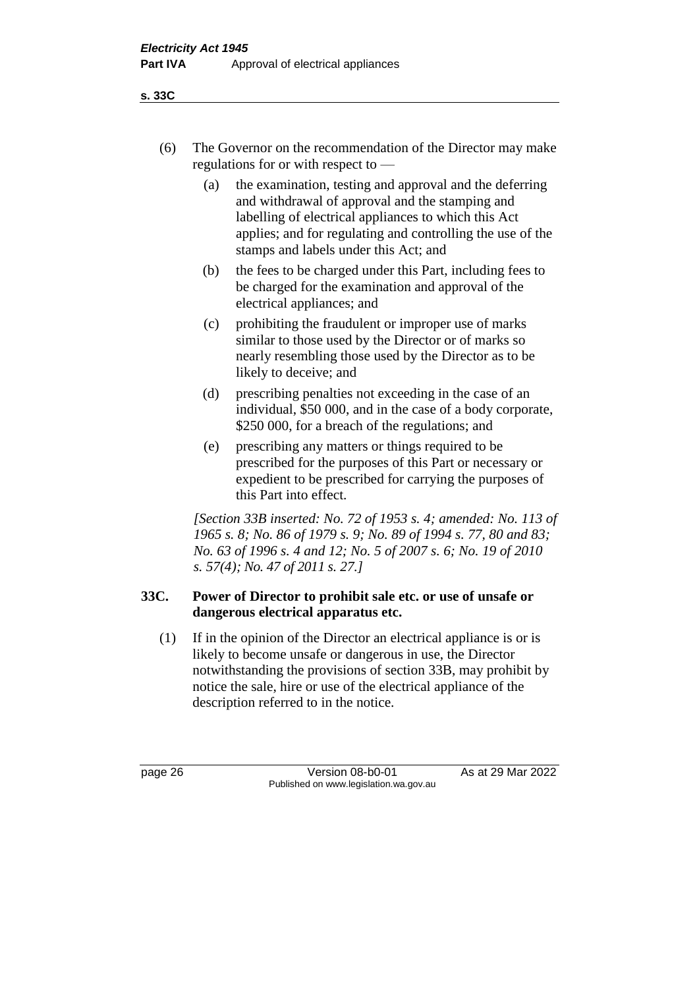- (6) The Governor on the recommendation of the Director may make regulations for or with respect to —
	- (a) the examination, testing and approval and the deferring and withdrawal of approval and the stamping and labelling of electrical appliances to which this Act applies; and for regulating and controlling the use of the stamps and labels under this Act; and
	- (b) the fees to be charged under this Part, including fees to be charged for the examination and approval of the electrical appliances; and
	- (c) prohibiting the fraudulent or improper use of marks similar to those used by the Director or of marks so nearly resembling those used by the Director as to be likely to deceive; and
	- (d) prescribing penalties not exceeding in the case of an individual, \$50 000, and in the case of a body corporate, \$250 000, for a breach of the regulations; and
	- (e) prescribing any matters or things required to be prescribed for the purposes of this Part or necessary or expedient to be prescribed for carrying the purposes of this Part into effect.

*[Section 33B inserted: No. 72 of 1953 s. 4; amended: No. 113 of 1965 s. 8; No. 86 of 1979 s. 9; No. 89 of 1994 s. 77, 80 and 83; No. 63 of 1996 s. 4 and 12; No. 5 of 2007 s. 6; No. 19 of 2010 s. 57(4); No. 47 of 2011 s. 27.]*

#### **33C. Power of Director to prohibit sale etc. or use of unsafe or dangerous electrical apparatus etc.**

(1) If in the opinion of the Director an electrical appliance is or is likely to become unsafe or dangerous in use, the Director notwithstanding the provisions of section 33B, may prohibit by notice the sale, hire or use of the electrical appliance of the description referred to in the notice.

page 26 Version 08-b0-01 As at 29 Mar 2022 Published on www.legislation.wa.gov.au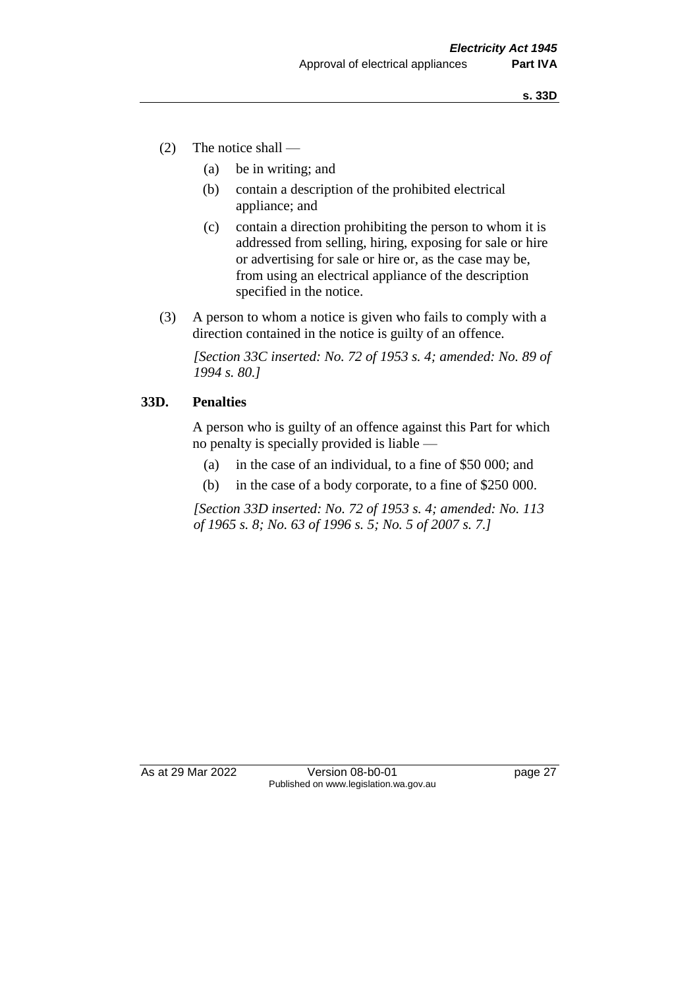- (2) The notice shall
	- (a) be in writing; and
	- (b) contain a description of the prohibited electrical appliance; and
	- (c) contain a direction prohibiting the person to whom it is addressed from selling, hiring, exposing for sale or hire or advertising for sale or hire or, as the case may be, from using an electrical appliance of the description specified in the notice.
- (3) A person to whom a notice is given who fails to comply with a direction contained in the notice is guilty of an offence.

*[Section 33C inserted: No. 72 of 1953 s. 4; amended: No. 89 of 1994 s. 80.]*

#### **33D. Penalties**

A person who is guilty of an offence against this Part for which no penalty is specially provided is liable —

- (a) in the case of an individual, to a fine of \$50 000; and
- (b) in the case of a body corporate, to a fine of \$250 000.

*[Section 33D inserted: No. 72 of 1953 s. 4; amended: No. 113 of 1965 s. 8; No. 63 of 1996 s. 5; No. 5 of 2007 s. 7.]*

As at 29 Mar 2022 Version 08-b0-01 page 27 Published on www.legislation.wa.gov.au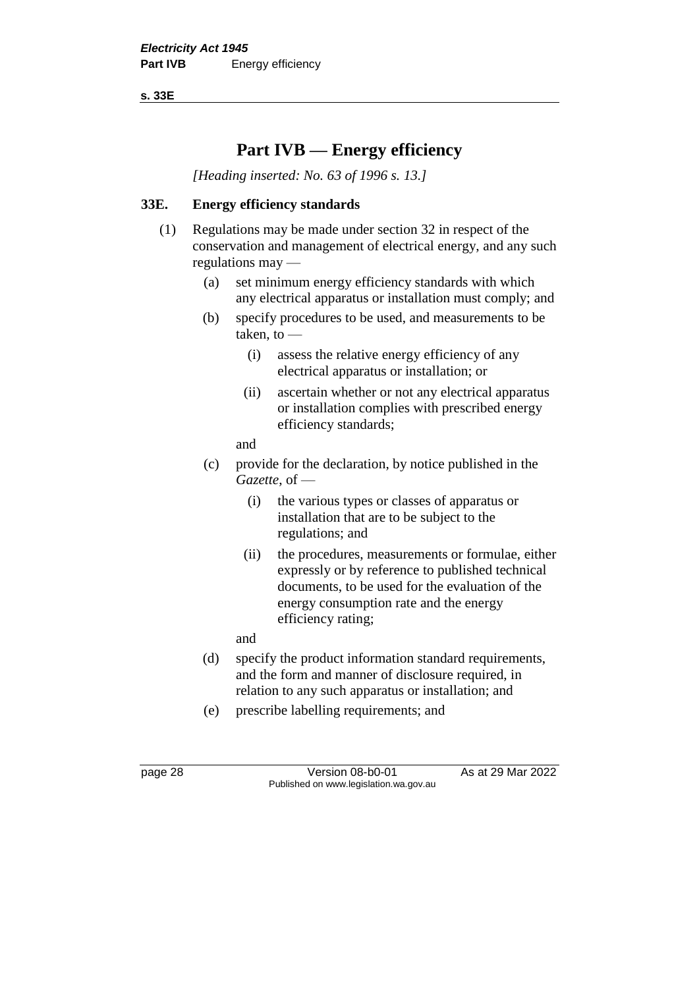**s. 33E**

## **Part IVB — Energy efficiency**

*[Heading inserted: No. 63 of 1996 s. 13.]*

#### **33E. Energy efficiency standards**

- (1) Regulations may be made under section 32 in respect of the conservation and management of electrical energy, and any such regulations may —
	- (a) set minimum energy efficiency standards with which any electrical apparatus or installation must comply; and
	- (b) specify procedures to be used, and measurements to be taken, to —
		- (i) assess the relative energy efficiency of any electrical apparatus or installation; or
		- (ii) ascertain whether or not any electrical apparatus or installation complies with prescribed energy efficiency standards;

and

- (c) provide for the declaration, by notice published in the *Gazette*, of —
	- (i) the various types or classes of apparatus or installation that are to be subject to the regulations; and
	- (ii) the procedures, measurements or formulae, either expressly or by reference to published technical documents, to be used for the evaluation of the energy consumption rate and the energy efficiency rating;

and

- (d) specify the product information standard requirements, and the form and manner of disclosure required, in relation to any such apparatus or installation; and
- (e) prescribe labelling requirements; and

page 28 Version 08-b0-01 As at 29 Mar 2022 Published on www.legislation.wa.gov.au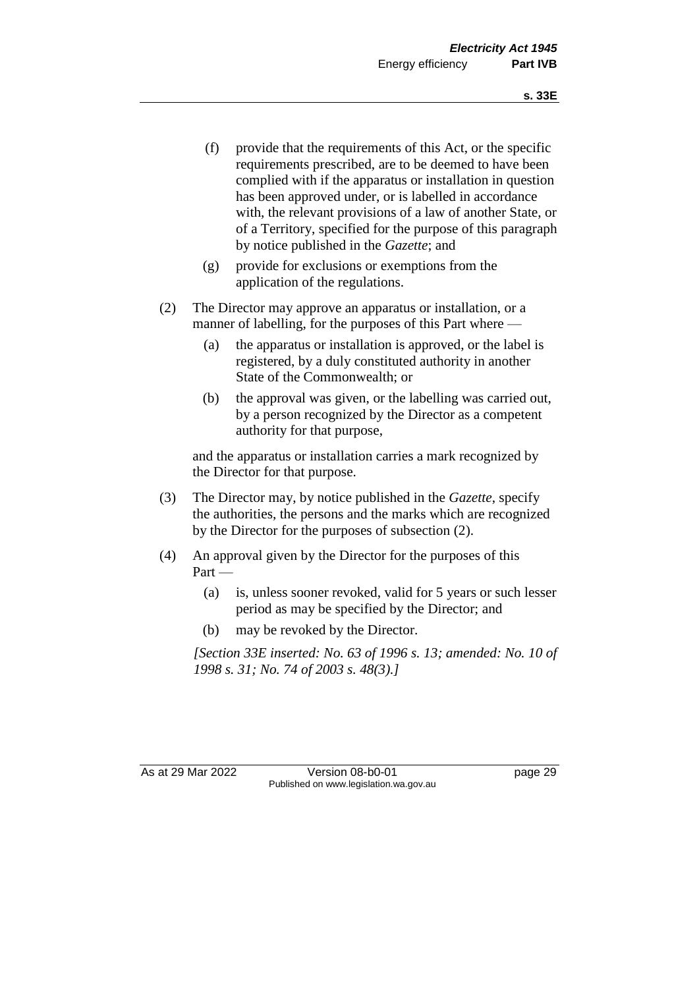- (f) provide that the requirements of this Act, or the specific requirements prescribed, are to be deemed to have been complied with if the apparatus or installation in question has been approved under, or is labelled in accordance with, the relevant provisions of a law of another State, or of a Territory, specified for the purpose of this paragraph by notice published in the *Gazette*; and
- (g) provide for exclusions or exemptions from the application of the regulations.
- (2) The Director may approve an apparatus or installation, or a manner of labelling, for the purposes of this Part where —
	- (a) the apparatus or installation is approved, or the label is registered, by a duly constituted authority in another State of the Commonwealth; or
	- (b) the approval was given, or the labelling was carried out, by a person recognized by the Director as a competent authority for that purpose,

and the apparatus or installation carries a mark recognized by the Director for that purpose.

- (3) The Director may, by notice published in the *Gazette*, specify the authorities, the persons and the marks which are recognized by the Director for the purposes of subsection (2).
- (4) An approval given by the Director for the purposes of this Part —
	- (a) is, unless sooner revoked, valid for 5 years or such lesser period as may be specified by the Director; and
	- (b) may be revoked by the Director.

*[Section 33E inserted: No. 63 of 1996 s. 13; amended: No. 10 of 1998 s. 31; No. 74 of 2003 s. 48(3).]*

As at 29 Mar 2022 Version 08-b0-01 page 29 Published on www.legislation.wa.gov.au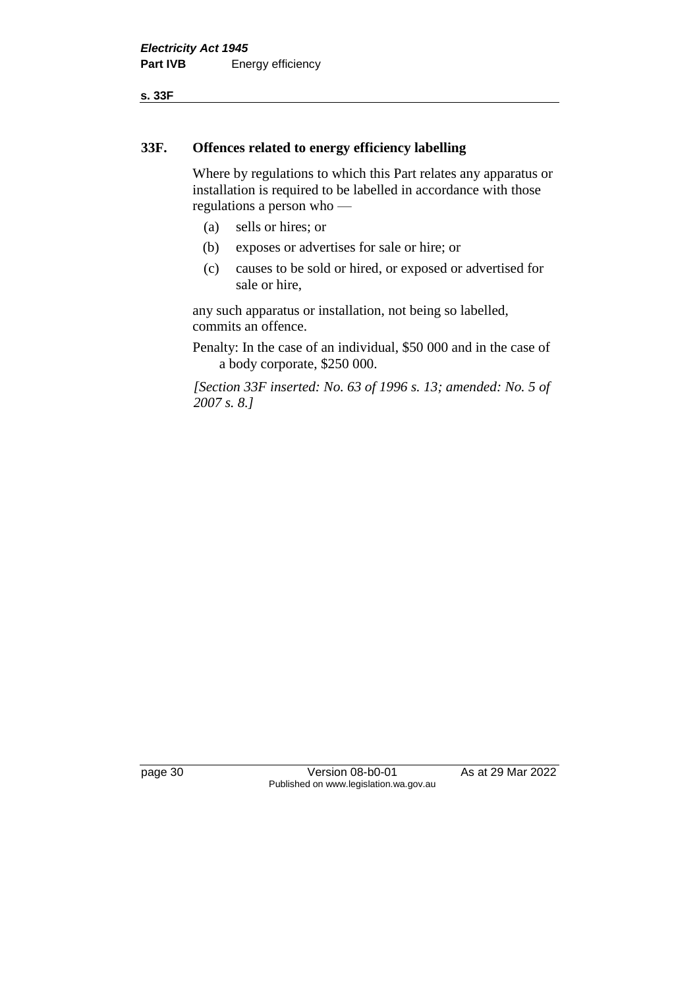**s. 33F**

#### **33F. Offences related to energy efficiency labelling**

Where by regulations to which this Part relates any apparatus or installation is required to be labelled in accordance with those regulations a person who —

- (a) sells or hires; or
- (b) exposes or advertises for sale or hire; or
- (c) causes to be sold or hired, or exposed or advertised for sale or hire,

any such apparatus or installation, not being so labelled, commits an offence.

Penalty: In the case of an individual, \$50 000 and in the case of a body corporate, \$250 000.

*[Section 33F inserted: No. 63 of 1996 s. 13; amended: No. 5 of 2007 s. 8.]*

page 30 Version 08-b0-01 As at 29 Mar 2022 Published on www.legislation.wa.gov.au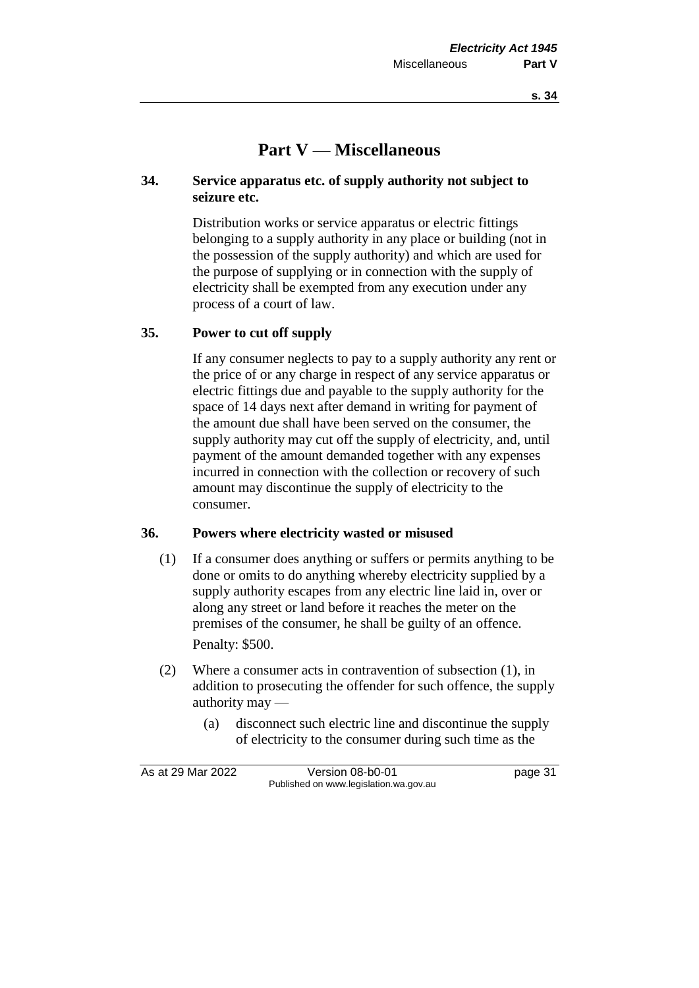## **Part V — Miscellaneous**

#### **34. Service apparatus etc. of supply authority not subject to seizure etc.**

Distribution works or service apparatus or electric fittings belonging to a supply authority in any place or building (not in the possession of the supply authority) and which are used for the purpose of supplying or in connection with the supply of electricity shall be exempted from any execution under any process of a court of law.

#### **35. Power to cut off supply**

If any consumer neglects to pay to a supply authority any rent or the price of or any charge in respect of any service apparatus or electric fittings due and payable to the supply authority for the space of 14 days next after demand in writing for payment of the amount due shall have been served on the consumer, the supply authority may cut off the supply of electricity, and, until payment of the amount demanded together with any expenses incurred in connection with the collection or recovery of such amount may discontinue the supply of electricity to the consumer.

#### **36. Powers where electricity wasted or misused**

- (1) If a consumer does anything or suffers or permits anything to be done or omits to do anything whereby electricity supplied by a supply authority escapes from any electric line laid in, over or along any street or land before it reaches the meter on the premises of the consumer, he shall be guilty of an offence. Penalty: \$500.
- (2) Where a consumer acts in contravention of subsection (1), in addition to prosecuting the offender for such offence, the supply authority may —
	- (a) disconnect such electric line and discontinue the supply of electricity to the consumer during such time as the

As at 29 Mar 2022 Version 08-b0-01 page 31 Published on www.legislation.wa.gov.au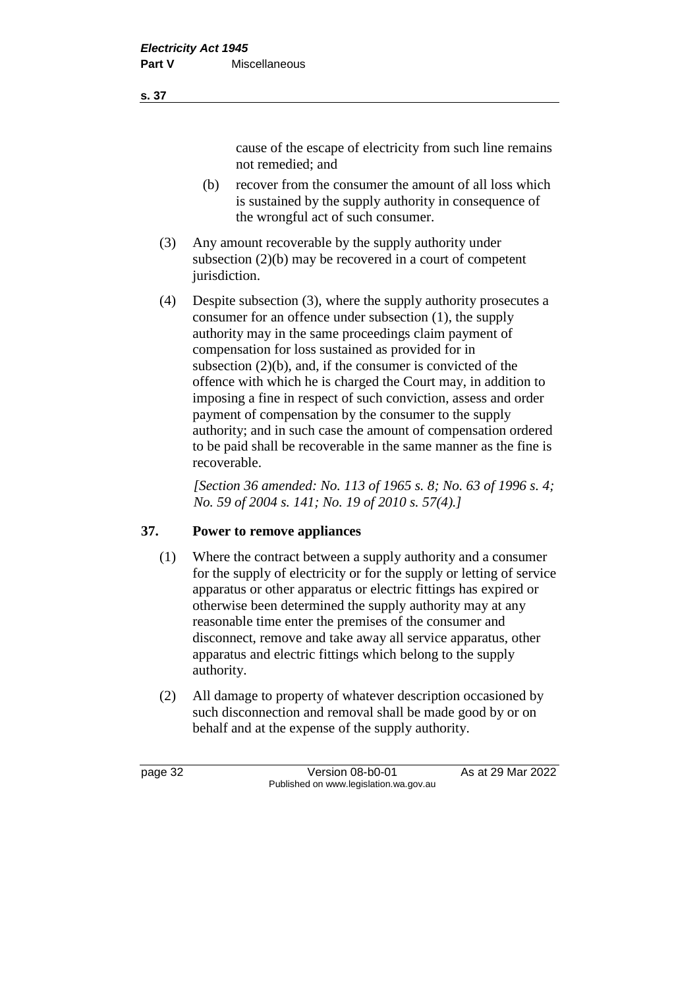cause of the escape of electricity from such line remains not remedied; and

- (b) recover from the consumer the amount of all loss which is sustained by the supply authority in consequence of the wrongful act of such consumer.
- (3) Any amount recoverable by the supply authority under subsection (2)(b) may be recovered in a court of competent jurisdiction.
- (4) Despite subsection (3), where the supply authority prosecutes a consumer for an offence under subsection (1), the supply authority may in the same proceedings claim payment of compensation for loss sustained as provided for in subsection (2)(b), and, if the consumer is convicted of the offence with which he is charged the Court may, in addition to imposing a fine in respect of such conviction, assess and order payment of compensation by the consumer to the supply authority; and in such case the amount of compensation ordered to be paid shall be recoverable in the same manner as the fine is recoverable.

*[Section 36 amended: No. 113 of 1965 s. 8; No. 63 of 1996 s. 4; No. 59 of 2004 s. 141; No. 19 of 2010 s. 57(4).]*

#### **37. Power to remove appliances**

- (1) Where the contract between a supply authority and a consumer for the supply of electricity or for the supply or letting of service apparatus or other apparatus or electric fittings has expired or otherwise been determined the supply authority may at any reasonable time enter the premises of the consumer and disconnect, remove and take away all service apparatus, other apparatus and electric fittings which belong to the supply authority.
- (2) All damage to property of whatever description occasioned by such disconnection and removal shall be made good by or on behalf and at the expense of the supply authority.

page 32 Version 08-b0-01 As at 29 Mar 2022 Published on www.legislation.wa.gov.au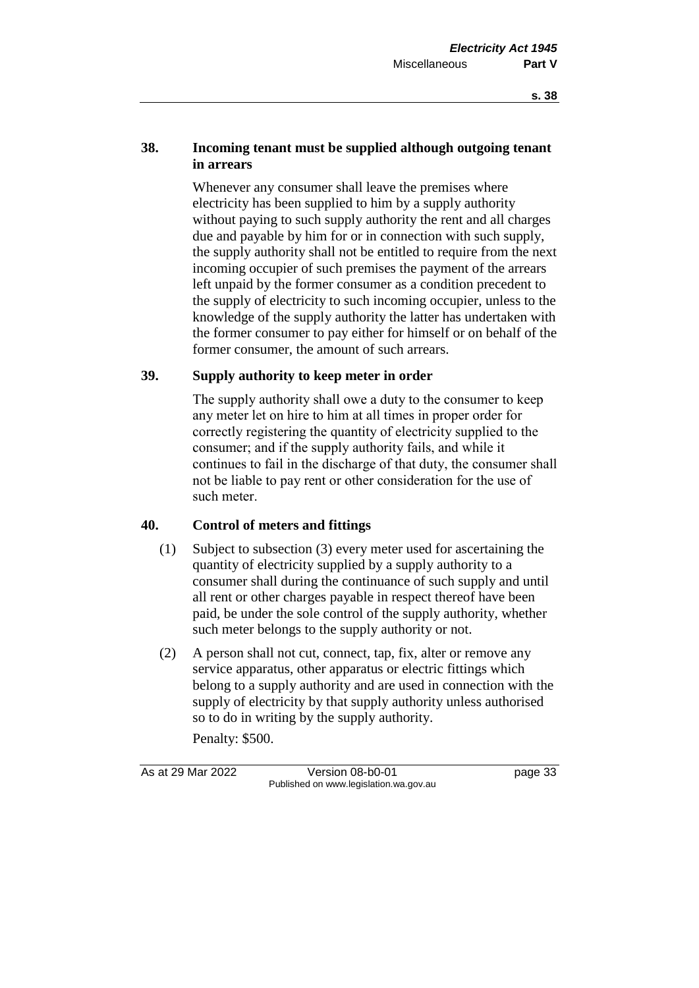#### **38. Incoming tenant must be supplied although outgoing tenant in arrears**

Whenever any consumer shall leave the premises where electricity has been supplied to him by a supply authority without paying to such supply authority the rent and all charges due and payable by him for or in connection with such supply, the supply authority shall not be entitled to require from the next incoming occupier of such premises the payment of the arrears left unpaid by the former consumer as a condition precedent to the supply of electricity to such incoming occupier, unless to the knowledge of the supply authority the latter has undertaken with the former consumer to pay either for himself or on behalf of the former consumer, the amount of such arrears.

#### **39. Supply authority to keep meter in order**

The supply authority shall owe a duty to the consumer to keep any meter let on hire to him at all times in proper order for correctly registering the quantity of electricity supplied to the consumer; and if the supply authority fails, and while it continues to fail in the discharge of that duty, the consumer shall not be liable to pay rent or other consideration for the use of such meter.

#### **40. Control of meters and fittings**

- (1) Subject to subsection (3) every meter used for ascertaining the quantity of electricity supplied by a supply authority to a consumer shall during the continuance of such supply and until all rent or other charges payable in respect thereof have been paid, be under the sole control of the supply authority, whether such meter belongs to the supply authority or not.
- (2) A person shall not cut, connect, tap, fix, alter or remove any service apparatus, other apparatus or electric fittings which belong to a supply authority and are used in connection with the supply of electricity by that supply authority unless authorised so to do in writing by the supply authority.

Penalty: \$500.

As at 29 Mar 2022 Version 08-b0-01 page 33 Published on www.legislation.wa.gov.au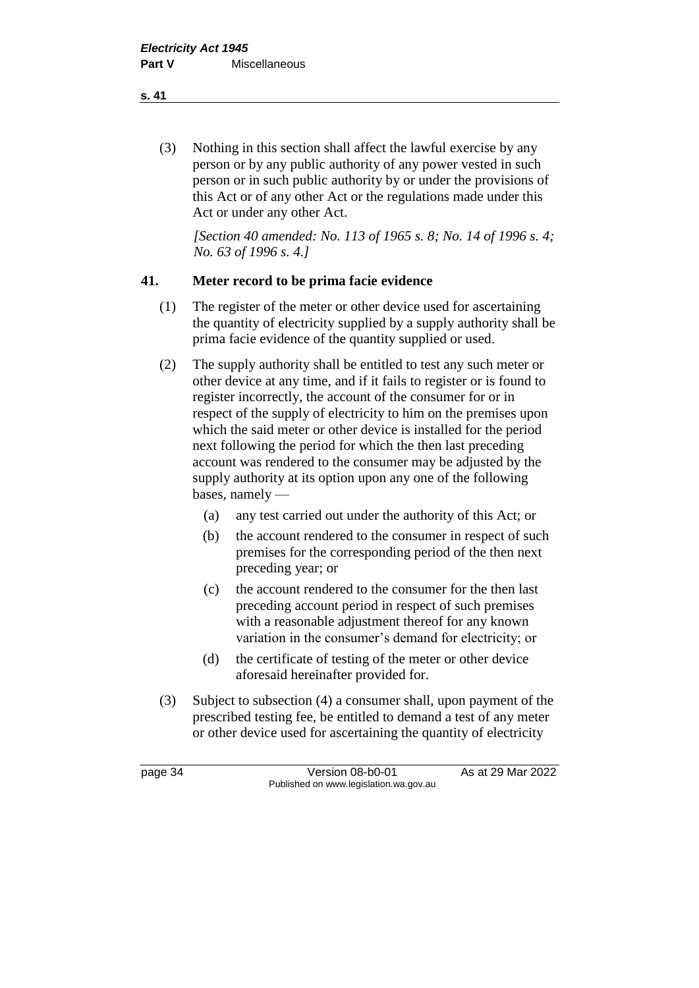(3) Nothing in this section shall affect the lawful exercise by any person or by any public authority of any power vested in such person or in such public authority by or under the provisions of this Act or of any other Act or the regulations made under this Act or under any other Act.

*[Section 40 amended: No. 113 of 1965 s. 8; No. 14 of 1996 s. 4; No. 63 of 1996 s. 4.]*

#### **41. Meter record to be prima facie evidence**

- (1) The register of the meter or other device used for ascertaining the quantity of electricity supplied by a supply authority shall be prima facie evidence of the quantity supplied or used.
- (2) The supply authority shall be entitled to test any such meter or other device at any time, and if it fails to register or is found to register incorrectly, the account of the consumer for or in respect of the supply of electricity to him on the premises upon which the said meter or other device is installed for the period next following the period for which the then last preceding account was rendered to the consumer may be adjusted by the supply authority at its option upon any one of the following bases, namely —
	- (a) any test carried out under the authority of this Act; or
	- (b) the account rendered to the consumer in respect of such premises for the corresponding period of the then next preceding year; or
	- (c) the account rendered to the consumer for the then last preceding account period in respect of such premises with a reasonable adjustment thereof for any known variation in the consumer's demand for electricity; or
	- (d) the certificate of testing of the meter or other device aforesaid hereinafter provided for.
- (3) Subject to subsection (4) a consumer shall, upon payment of the prescribed testing fee, be entitled to demand a test of any meter or other device used for ascertaining the quantity of electricity

page 34 Version 08-b0-01 As at 29 Mar 2022 Published on www.legislation.wa.gov.au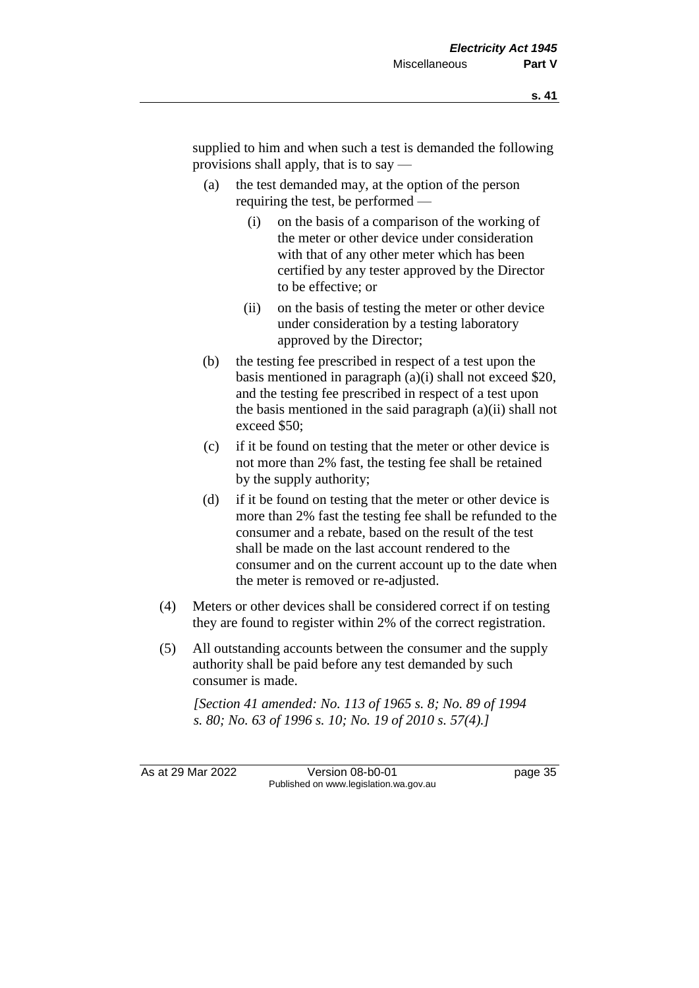supplied to him and when such a test is demanded the following provisions shall apply, that is to say —

- (a) the test demanded may, at the option of the person requiring the test, be performed —
	- (i) on the basis of a comparison of the working of the meter or other device under consideration with that of any other meter which has been certified by any tester approved by the Director to be effective; or
	- (ii) on the basis of testing the meter or other device under consideration by a testing laboratory approved by the Director;
- (b) the testing fee prescribed in respect of a test upon the basis mentioned in paragraph (a)(i) shall not exceed \$20, and the testing fee prescribed in respect of a test upon the basis mentioned in the said paragraph (a)(ii) shall not exceed \$50;
- (c) if it be found on testing that the meter or other device is not more than 2% fast, the testing fee shall be retained by the supply authority;
- (d) if it be found on testing that the meter or other device is more than 2% fast the testing fee shall be refunded to the consumer and a rebate, based on the result of the test shall be made on the last account rendered to the consumer and on the current account up to the date when the meter is removed or re-adjusted.
- (4) Meters or other devices shall be considered correct if on testing they are found to register within 2% of the correct registration.
- (5) All outstanding accounts between the consumer and the supply authority shall be paid before any test demanded by such consumer is made.

*[Section 41 amended: No. 113 of 1965 s. 8; No. 89 of 1994 s. 80; No. 63 of 1996 s. 10; No. 19 of 2010 s. 57(4).]*

As at 29 Mar 2022 Version 08-b0-01 page 35 Published on www.legislation.wa.gov.au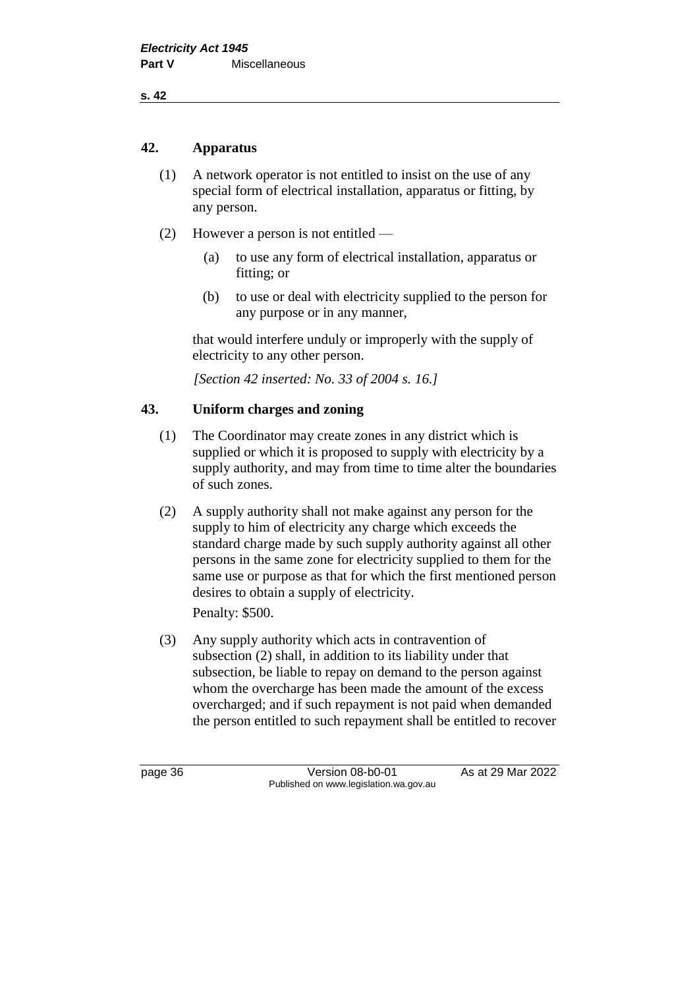**s. 42**

#### **42. Apparatus**

- (1) A network operator is not entitled to insist on the use of any special form of electrical installation, apparatus or fitting, by any person.
- (2) However a person is not entitled
	- (a) to use any form of electrical installation, apparatus or fitting; or
	- (b) to use or deal with electricity supplied to the person for any purpose or in any manner,

that would interfere unduly or improperly with the supply of electricity to any other person.

*[Section 42 inserted: No. 33 of 2004 s. 16.]*

#### **43. Uniform charges and zoning**

- (1) The Coordinator may create zones in any district which is supplied or which it is proposed to supply with electricity by a supply authority, and may from time to time alter the boundaries of such zones.
- (2) A supply authority shall not make against any person for the supply to him of electricity any charge which exceeds the standard charge made by such supply authority against all other persons in the same zone for electricity supplied to them for the same use or purpose as that for which the first mentioned person desires to obtain a supply of electricity.

Penalty: \$500.

(3) Any supply authority which acts in contravention of subsection (2) shall, in addition to its liability under that subsection, be liable to repay on demand to the person against whom the overcharge has been made the amount of the excess overcharged; and if such repayment is not paid when demanded the person entitled to such repayment shall be entitled to recover

page 36 Version 08-b0-01 As at 29 Mar 2022 Published on www.legislation.wa.gov.au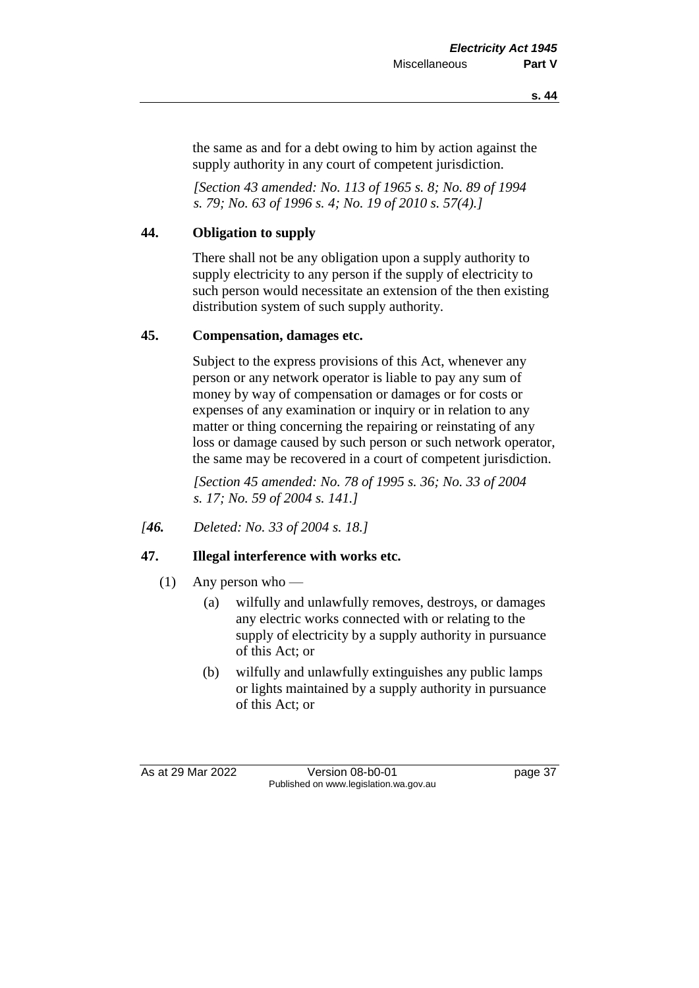the same as and for a debt owing to him by action against the supply authority in any court of competent jurisdiction.

*[Section 43 amended: No. 113 of 1965 s. 8; No. 89 of 1994 s. 79; No. 63 of 1996 s. 4; No. 19 of 2010 s. 57(4).]*

#### **44. Obligation to supply**

There shall not be any obligation upon a supply authority to supply electricity to any person if the supply of electricity to such person would necessitate an extension of the then existing distribution system of such supply authority.

#### **45. Compensation, damages etc.**

Subject to the express provisions of this Act, whenever any person or any network operator is liable to pay any sum of money by way of compensation or damages or for costs or expenses of any examination or inquiry or in relation to any matter or thing concerning the repairing or reinstating of any loss or damage caused by such person or such network operator, the same may be recovered in a court of competent jurisdiction.

*[Section 45 amended: No. 78 of 1995 s. 36; No. 33 of 2004 s. 17; No. 59 of 2004 s. 141.]*

*[46. Deleted: No. 33 of 2004 s. 18.]*

#### **47. Illegal interference with works etc.**

- (1) Any person who
	- (a) wilfully and unlawfully removes, destroys, or damages any electric works connected with or relating to the supply of electricity by a supply authority in pursuance of this Act; or
	- (b) wilfully and unlawfully extinguishes any public lamps or lights maintained by a supply authority in pursuance of this Act; or

As at 29 Mar 2022 Version 08-b0-01 page 37 Published on www.legislation.wa.gov.au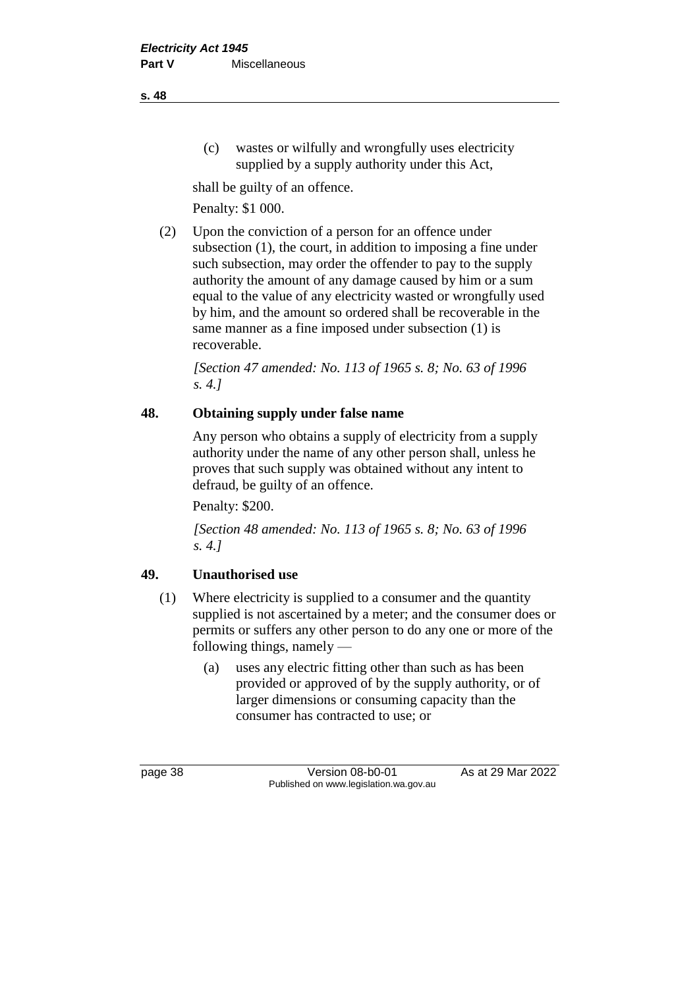(c) wastes or wilfully and wrongfully uses electricity supplied by a supply authority under this Act,

shall be guilty of an offence.

Penalty: \$1 000.

(2) Upon the conviction of a person for an offence under subsection (1), the court, in addition to imposing a fine under such subsection, may order the offender to pay to the supply authority the amount of any damage caused by him or a sum equal to the value of any electricity wasted or wrongfully used by him, and the amount so ordered shall be recoverable in the same manner as a fine imposed under subsection (1) is recoverable.

*[Section 47 amended: No. 113 of 1965 s. 8; No. 63 of 1996 s. 4.]*

#### **48. Obtaining supply under false name**

Any person who obtains a supply of electricity from a supply authority under the name of any other person shall, unless he proves that such supply was obtained without any intent to defraud, be guilty of an offence.

Penalty: \$200.

*[Section 48 amended: No. 113 of 1965 s. 8; No. 63 of 1996 s. 4.]*

#### **49. Unauthorised use**

- (1) Where electricity is supplied to a consumer and the quantity supplied is not ascertained by a meter; and the consumer does or permits or suffers any other person to do any one or more of the following things, namely —
	- (a) uses any electric fitting other than such as has been provided or approved of by the supply authority, or of larger dimensions or consuming capacity than the consumer has contracted to use; or

page 38 Version 08-b0-01 As at 29 Mar 2022 Published on www.legislation.wa.gov.au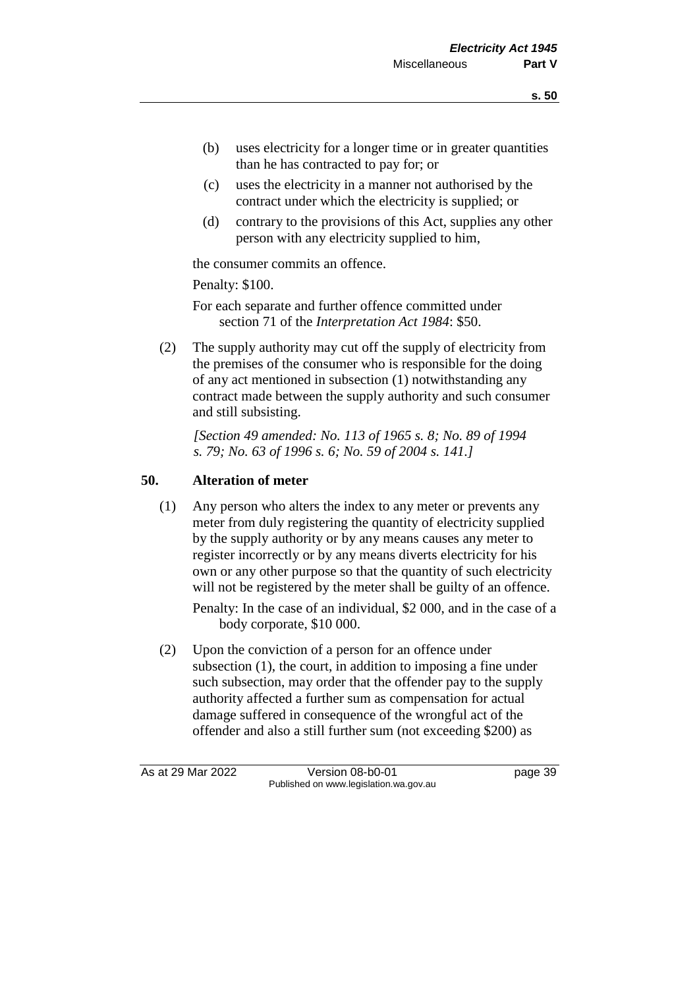- (b) uses electricity for a longer time or in greater quantities than he has contracted to pay for; or
- (c) uses the electricity in a manner not authorised by the contract under which the electricity is supplied; or
- (d) contrary to the provisions of this Act, supplies any other person with any electricity supplied to him,

the consumer commits an offence.

Penalty: \$100.

For each separate and further offence committed under section 71 of the *Interpretation Act 1984*: \$50.

(2) The supply authority may cut off the supply of electricity from the premises of the consumer who is responsible for the doing of any act mentioned in subsection (1) notwithstanding any contract made between the supply authority and such consumer and still subsisting.

*[Section 49 amended: No. 113 of 1965 s. 8; No. 89 of 1994 s. 79; No. 63 of 1996 s. 6; No. 59 of 2004 s. 141.]*

#### **50. Alteration of meter**

(1) Any person who alters the index to any meter or prevents any meter from duly registering the quantity of electricity supplied by the supply authority or by any means causes any meter to register incorrectly or by any means diverts electricity for his own or any other purpose so that the quantity of such electricity will not be registered by the meter shall be guilty of an offence.

Penalty: In the case of an individual, \$2 000, and in the case of a body corporate, \$10 000.

(2) Upon the conviction of a person for an offence under subsection (1), the court, in addition to imposing a fine under such subsection, may order that the offender pay to the supply authority affected a further sum as compensation for actual damage suffered in consequence of the wrongful act of the offender and also a still further sum (not exceeding \$200) as

As at 29 Mar 2022 Version 08-b0-01 page 39 Published on www.legislation.wa.gov.au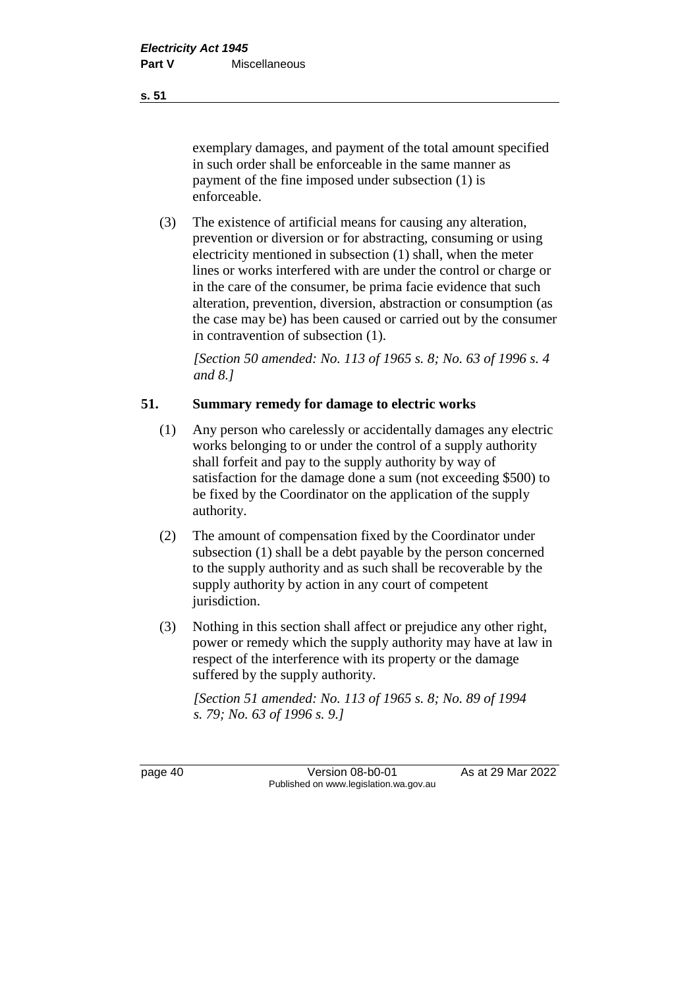exemplary damages, and payment of the total amount specified in such order shall be enforceable in the same manner as payment of the fine imposed under subsection (1) is enforceable.

(3) The existence of artificial means for causing any alteration, prevention or diversion or for abstracting, consuming or using electricity mentioned in subsection (1) shall, when the meter lines or works interfered with are under the control or charge or in the care of the consumer, be prima facie evidence that such alteration, prevention, diversion, abstraction or consumption (as the case may be) has been caused or carried out by the consumer in contravention of subsection (1).

*[Section 50 amended: No. 113 of 1965 s. 8; No. 63 of 1996 s. 4 and 8.]*

#### **51. Summary remedy for damage to electric works**

- (1) Any person who carelessly or accidentally damages any electric works belonging to or under the control of a supply authority shall forfeit and pay to the supply authority by way of satisfaction for the damage done a sum (not exceeding \$500) to be fixed by the Coordinator on the application of the supply authority.
- (2) The amount of compensation fixed by the Coordinator under subsection (1) shall be a debt payable by the person concerned to the supply authority and as such shall be recoverable by the supply authority by action in any court of competent jurisdiction.
- (3) Nothing in this section shall affect or prejudice any other right, power or remedy which the supply authority may have at law in respect of the interference with its property or the damage suffered by the supply authority.

*[Section 51 amended: No. 113 of 1965 s. 8; No. 89 of 1994 s. 79; No. 63 of 1996 s. 9.]*

page 40 Version 08-b0-01 As at 29 Mar 2022 Published on www.legislation.wa.gov.au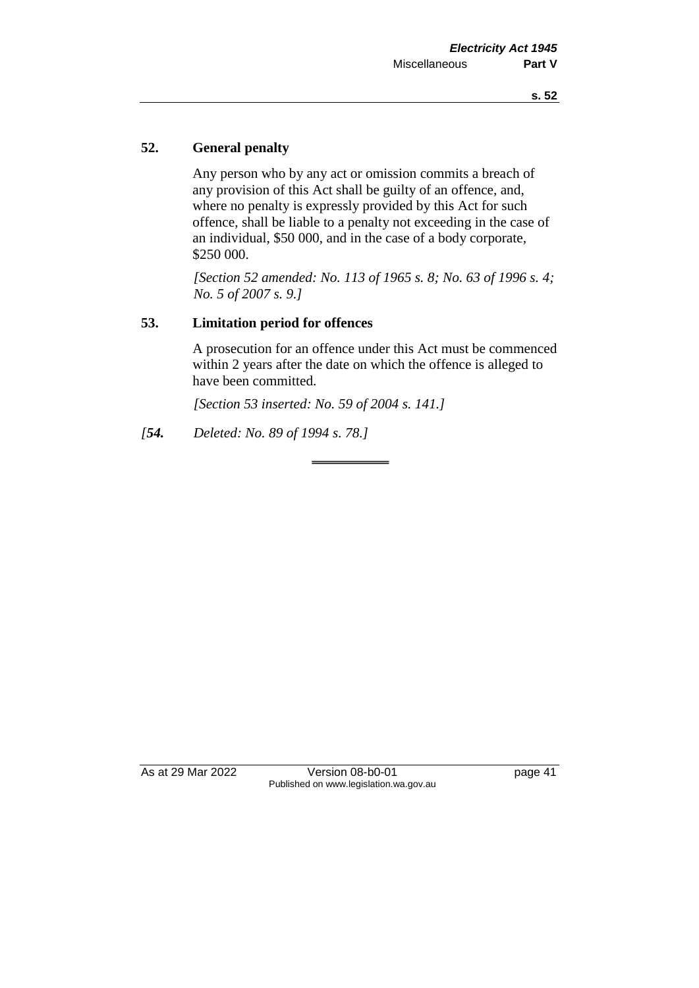#### **52. General penalty**

Any person who by any act or omission commits a breach of any provision of this Act shall be guilty of an offence, and, where no penalty is expressly provided by this Act for such offence, shall be liable to a penalty not exceeding in the case of an individual, \$50 000, and in the case of a body corporate, \$250 000.

*[Section 52 amended: No. 113 of 1965 s. 8; No. 63 of 1996 s. 4; No. 5 of 2007 s. 9.]*

#### **53. Limitation period for offences**

A prosecution for an offence under this Act must be commenced within 2 years after the date on which the offence is alleged to have been committed.

*[Section 53 inserted: No. 59 of 2004 s. 141.]*

*[54. Deleted: No. 89 of 1994 s. 78.]*

As at 29 Mar 2022 Version 08-b0-01 page 41 Published on www.legislation.wa.gov.au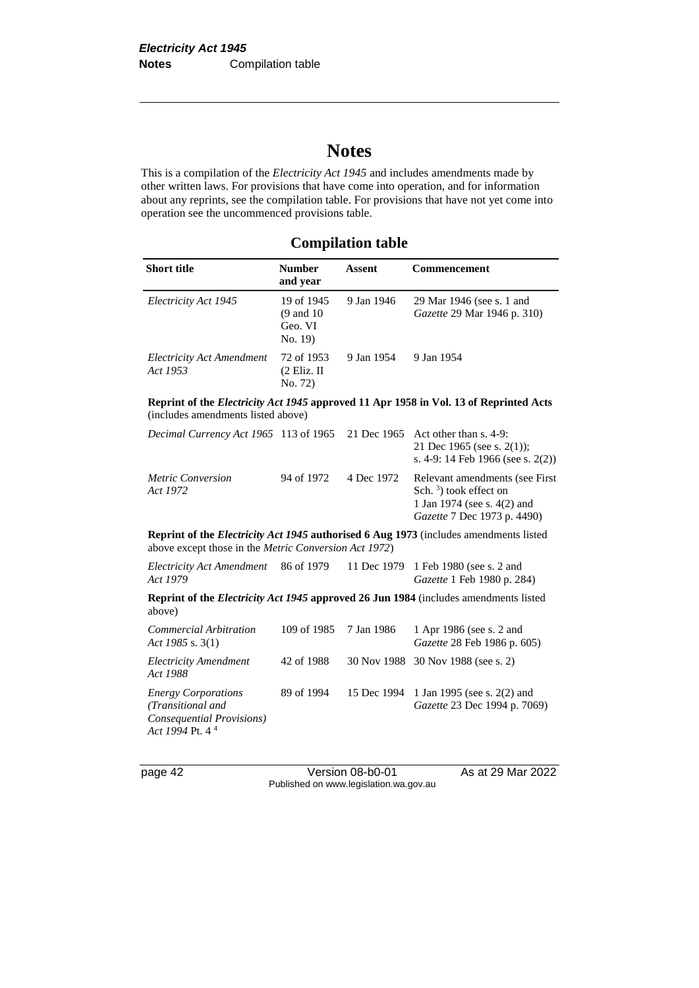## **Notes**

This is a compilation of the *Electricity Act 1945* and includes amendments made by other written laws. For provisions that have come into operation, and for information about any reprints, see the compilation table. For provisions that have not yet come into operation see the uncommenced provisions table.

#### **Compilation table**

| <b>Short title</b>                    | <b>Number</b><br>and year                                | Assent     | Commencement                                                    |
|---------------------------------------|----------------------------------------------------------|------------|-----------------------------------------------------------------|
| Electricity Act 1945                  | 19 of 1945<br>$(9 \text{ and } 10)$<br>Geo. VI<br>No. 19 | 9 Jan 1946 | 29 Mar 1946 (see s. 1 and<br><i>Gazette</i> 29 Mar 1946 p. 310) |
| Electricity Act Amendment<br>Act 1953 | 72 of 1953<br>$(2$ Eliz. II<br>No. 72)                   | 9 Jan 1954 | 9 Jan 1954                                                      |

**Reprint of the** *Electricity Act 1945* **approved 11 Apr 1958 in Vol. 13 of Reprinted Acts**  (includes amendments listed above)

| <i>Decimal Currency Act 1965</i> 113 of 1965 21 Dec 1965 Act other than s. 4-9: |            |            | 21 Dec 1965 (see s. $2(1)$ );<br>s. 4-9: 14 Feb 1966 (see s. $2(2)$ )                                                      |
|---------------------------------------------------------------------------------|------------|------------|----------------------------------------------------------------------------------------------------------------------------|
| <i>Metric Conversion</i><br>Act 1972                                            | 94 of 1972 | 4 Dec 1972 | Relevant amendments (see First)<br>Sch. $3$ ) took effect on<br>1 Jan 1974 (see s. 4(2) and<br>Gazette 7 Dec 1973 p. 4490) |

**Reprint of the** *Electricity Act 1945* **authorised 6 Aug 1973** (includes amendments listed above except those in the *Metric Conversion Act 1972*)

| Electricity Act Amendment<br>Act 1979 | 86 of 1979 | 11 Dec 1979 1 Feb 1980 (see s. 2 and<br><i>Gazette</i> 1 Feb 1980 p. 284)                   |
|---------------------------------------|------------|---------------------------------------------------------------------------------------------|
| above)                                |            | <b>Reprint of the Electricity Act 1945 approved 26 Jun 1984</b> (includes amendments listed |

| Commercial Arbitration<br>Act 1985 s. $3(1)$                                                                | 109 of 1985 7 Jan 1986 | 1 Apr 1986 (see s. 2 and<br>Gazette 28 Feb 1986 p. 605)                 |
|-------------------------------------------------------------------------------------------------------------|------------------------|-------------------------------------------------------------------------|
| <b>Electricity Amendment</b><br>Act 1988                                                                    | 42 of 1988             | 30 Nov 1988 30 Nov 1988 (see s. 2)                                      |
| <b>Energy Corporations</b><br>(Transitional and<br>Consequential Provisions)<br>Act 1994 Pt. 4 <sup>4</sup> | 89 of 1994             | 15 Dec 1994 1 Jan 1995 (see s. 2(2) and<br>Gazette 23 Dec 1994 p. 7069) |

page 42 Version 08-b0-01 As at 29 Mar 2022 Published on www.legislation.wa.gov.au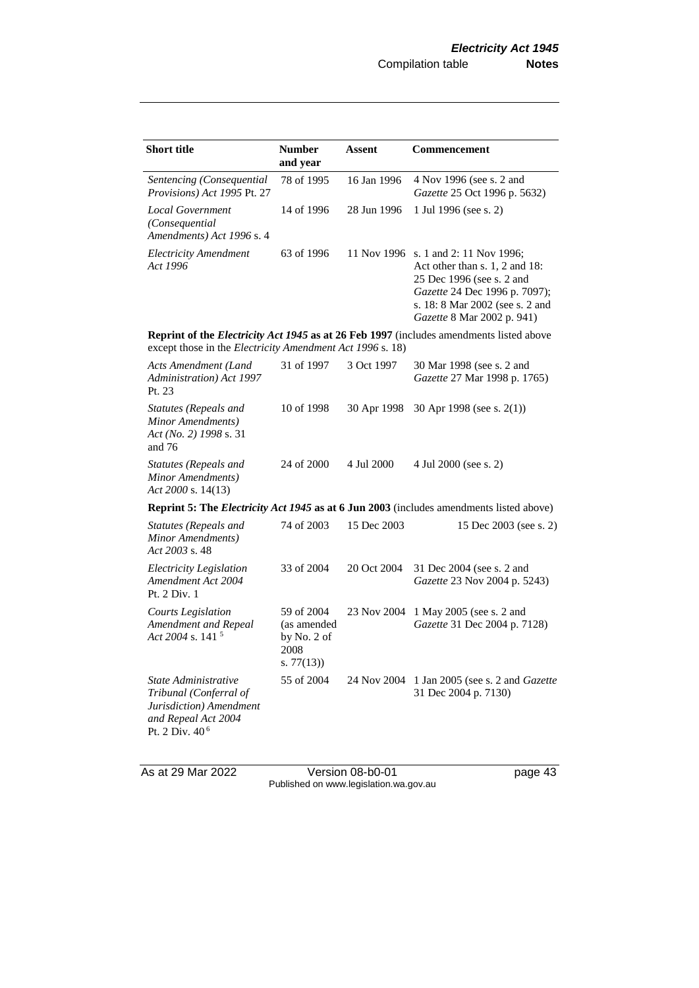| <b>Short title</b>                                                                                                             | <b>Number</b><br>and year                                     | Assent      | <b>Commencement</b>                                                                                                                                                                                   |
|--------------------------------------------------------------------------------------------------------------------------------|---------------------------------------------------------------|-------------|-------------------------------------------------------------------------------------------------------------------------------------------------------------------------------------------------------|
| Sentencing (Consequential<br>Provisions) Act 1995 Pt. 27                                                                       | 78 of 1995                                                    | 16 Jan 1996 | 4 Nov 1996 (see s. 2 and<br>Gazette 25 Oct 1996 p. 5632)                                                                                                                                              |
| <b>Local Government</b><br>(Consequential)<br>Amendments) Act 1996 s. 4                                                        | 14 of 1996                                                    | 28 Jun 1996 | 1 Jul 1996 (see s. 2)                                                                                                                                                                                 |
| <b>Electricity Amendment</b><br>Act 1996                                                                                       | 63 of 1996                                                    |             | 11 Nov 1996 s. 1 and 2: 11 Nov 1996;<br>Act other than s. 1, 2 and 18:<br>25 Dec 1996 (see s. 2 and<br>Gazette 24 Dec 1996 p. 7097);<br>s. 18: 8 Mar 2002 (see s. 2 and<br>Gazette 8 Mar 2002 p. 941) |
| except those in the Electricity Amendment Act 1996 s. 18)                                                                      |                                                               |             | <b>Reprint of the Electricity Act 1945 as at 26 Feb 1997</b> (includes amendments listed above                                                                                                        |
| <b>Acts Amendment (Land</b><br>Administration) Act 1997<br>Pt. 23                                                              | 31 of 1997                                                    | 3 Oct 1997  | 30 Mar 1998 (see s. 2 and<br>Gazette 27 Mar 1998 p. 1765)                                                                                                                                             |
| Statutes (Repeals and<br>Minor Amendments)<br>Act (No. 2) 1998 s. 31<br>and $76$                                               | 10 of 1998                                                    | 30 Apr 1998 | 30 Apr 1998 (see s. $2(1)$ )                                                                                                                                                                          |
| Statutes (Repeals and<br>Minor Amendments)<br>Act 2000 s. 14(13)                                                               | 24 of 2000                                                    | 4 Jul 2000  | 4 Jul 2000 (see s. 2)                                                                                                                                                                                 |
|                                                                                                                                |                                                               |             | <b>Reprint 5: The Electricity Act 1945 as at 6 Jun 2003</b> (includes amendments listed above)                                                                                                        |
| Statutes (Repeals and<br>Minor Amendments)<br>Act 2003 s. 48                                                                   | 74 of 2003                                                    | 15 Dec 2003 | 15 Dec 2003 (see s. 2)                                                                                                                                                                                |
| Electricity Legislation<br>Amendment Act 2004<br>Pt. 2 Div. 1                                                                  | 33 of 2004                                                    | 20 Oct 2004 | 31 Dec 2004 (see s. 2 and<br>Gazette 23 Nov 2004 p. 5243)                                                                                                                                             |
| <b>Courts Legislation</b><br>Amendment and Repeal<br>Act 2004 s. 141 <sup>5</sup>                                              | 59 of 2004<br>(as amended<br>by No. 2 of<br>2008<br>s. 77(13) | 23 Nov 2004 | 1 May 2005 (see s. 2 and<br>Gazette 31 Dec 2004 p. 7128)                                                                                                                                              |
| State Administrative<br>Tribunal (Conferral of<br>Jurisdiction) Amendment<br>and Repeal Act 2004<br>Pt. 2 Div. 40 <sup>6</sup> | 55 of 2004                                                    |             | 24 Nov 2004 1 Jan 2005 (see s. 2 and <i>Gazette</i><br>31 Dec 2004 p. 7130)                                                                                                                           |

As at 29 Mar 2022 Version 08-b0-01 page 43 Published on www.legislation.wa.gov.au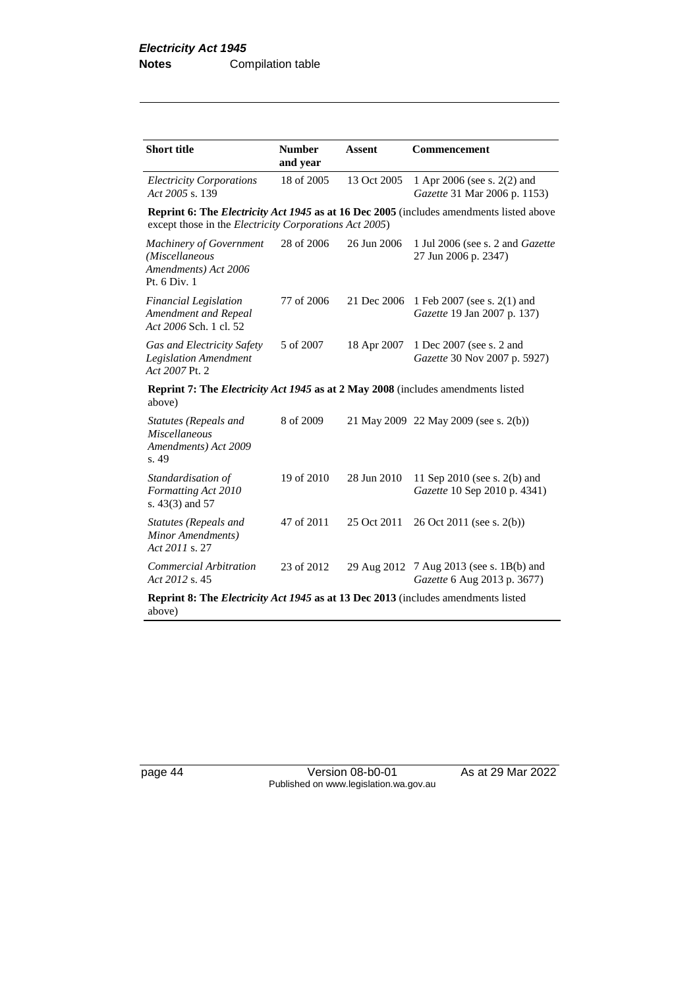| <b>Short title</b>                                                                                                                                       | <b>Number</b><br>and year | <b>Assent</b> | Commencement                                                            |  |  |
|----------------------------------------------------------------------------------------------------------------------------------------------------------|---------------------------|---------------|-------------------------------------------------------------------------|--|--|
| <b>Electricity Corporations</b><br>Act 2005 s. 139                                                                                                       | 18 of 2005                | 13 Oct 2005   | 1 Apr 2006 (see s. 2(2) and<br>Gazette 31 Mar 2006 p. 1153)             |  |  |
| <b>Reprint 6: The Electricity Act 1945 as at 16 Dec 2005</b> (includes amendments listed above<br>except those in the Electricity Corporations Act 2005) |                           |               |                                                                         |  |  |
| <b>Machinery of Government</b><br>(Miscellaneous<br>Amendments) Act 2006<br>Pt. 6 Div. 1                                                                 | 28 of 2006                | 26 Jun 2006   | 1 Jul 2006 (see s. 2 and <i>Gazette</i><br>27 Jun 2006 p. 2347)         |  |  |
| Financial Legislation<br>Amendment and Repeal<br>Act 2006 Sch. 1 cl. 52                                                                                  | 77 of 2006                | 21 Dec 2006   | 1 Feb 2007 (see s. 2(1) and<br>Gazette 19 Jan 2007 p. 137)              |  |  |
| Gas and Electricity Safety<br><b>Legislation Amendment</b><br>Act 2007 Pt. 2                                                                             | 5 of 2007                 | 18 Apr 2007   | 1 Dec 2007 (see s. 2 and<br>Gazette 30 Nov 2007 p. 5927)                |  |  |
| <b>Reprint 7: The Electricity Act 1945 as at 2 May 2008</b> (includes amendments listed<br>above)                                                        |                           |               |                                                                         |  |  |
| Statutes (Repeals and<br><b>Miscellaneous</b><br>Amendments) Act 2009<br>s. 49                                                                           | 8 of 2009                 |               | 21 May 2009 22 May 2009 (see s. 2(b))                                   |  |  |
| Standardisation of<br>Formatting Act 2010<br>s. $43(3)$ and $57$                                                                                         | 19 of 2010                | 28 Jun 2010   | 11 Sep 2010 (see s. 2(b) and<br>Gazette 10 Sep 2010 p. 4341)            |  |  |
| Statutes (Repeals and<br>Minor Amendments)<br>Act 2011 s. 27                                                                                             | 47 of 2011                | 25 Oct 2011   | 26 Oct 2011 (see s. 2(b))                                               |  |  |
| <b>Commercial Arbitration</b><br>Act 2012 s. 45                                                                                                          | 23 of 2012                |               | 29 Aug 2012 7 Aug 2013 (see s. 1B(b) and<br>Gazette 6 Aug 2013 p. 3677) |  |  |
| <b>Reprint 8: The Electricity Act 1945 as at 13 Dec 2013</b> (includes amendments listed<br>above)                                                       |                           |               |                                                                         |  |  |

page 44 Version 08-b0-01 As at 29 Mar 2022 Published on www.legislation.wa.gov.au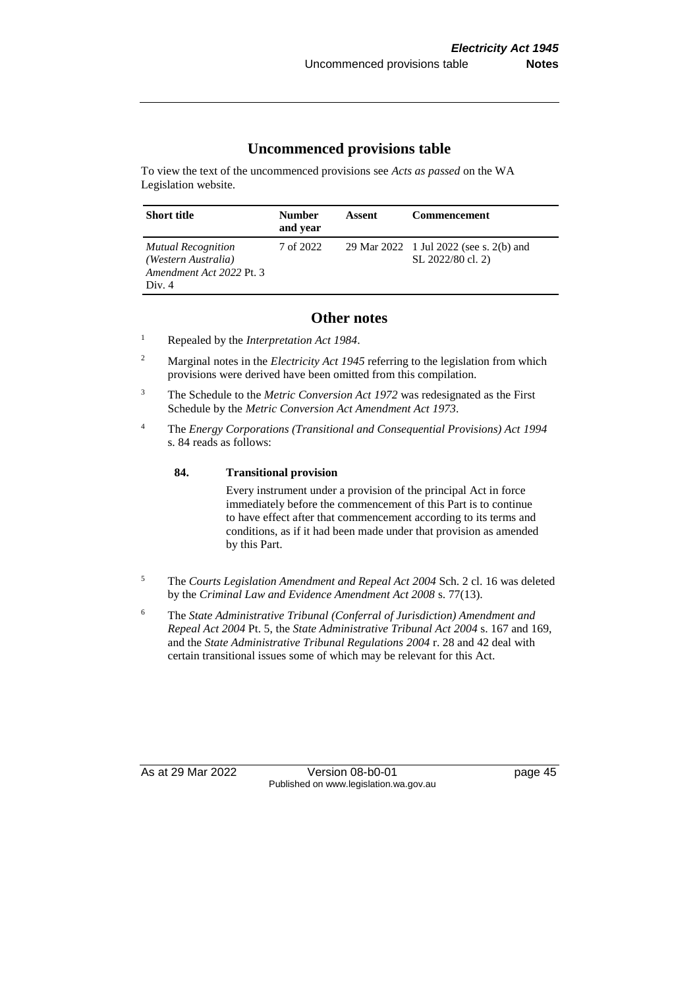#### **Uncommenced provisions table**

To view the text of the uncommenced provisions see *Acts as passed* on the WA Legislation website.

| <b>Short title</b>                                                                     | <b>Number</b><br>and year | Assent | <b>Commencement</b>                                          |
|----------------------------------------------------------------------------------------|---------------------------|--------|--------------------------------------------------------------|
| <b>Mutual Recognition</b><br>(Western Australia)<br>Amendment Act 2022 Pt. 3<br>Div. 4 | 7 of 2022                 |        | 29 Mar 2022 1 Jul 2022 (see s. 2(b) and<br>SL 2022/80 cl. 2) |

#### **Other notes**

<sup>1</sup> Repealed by the *Interpretation Act 1984*.

- <sup>2</sup> Marginal notes in the *Electricity Act 1945* referring to the legislation from which provisions were derived have been omitted from this compilation.
- <sup>3</sup> The Schedule to the *Metric Conversion Act 1972* was redesignated as the First Schedule by the *Metric Conversion Act Amendment Act 1973*.
- <sup>4</sup> The *Energy Corporations (Transitional and Consequential Provisions) Act 1994* s. 84 reads as follows:

#### **84. Transitional provision**

Every instrument under a provision of the principal Act in force immediately before the commencement of this Part is to continue to have effect after that commencement according to its terms and conditions, as if it had been made under that provision as amended by this Part.

- <sup>5</sup> The *Courts Legislation Amendment and Repeal Act 2004* Sch. 2 cl. 16 was deleted by the *Criminal Law and Evidence Amendment Act 2008* s. 77(13).
- <sup>6</sup> The *State Administrative Tribunal (Conferral of Jurisdiction) Amendment and Repeal Act 2004* Pt. 5, the *State Administrative Tribunal Act 2004* s. 167 and 169, and the *State Administrative Tribunal Regulations 2004* r. 28 and 42 deal with certain transitional issues some of which may be relevant for this Act.

As at 29 Mar 2022 Version 08-b0-01 page 45 Published on www.legislation.wa.gov.au